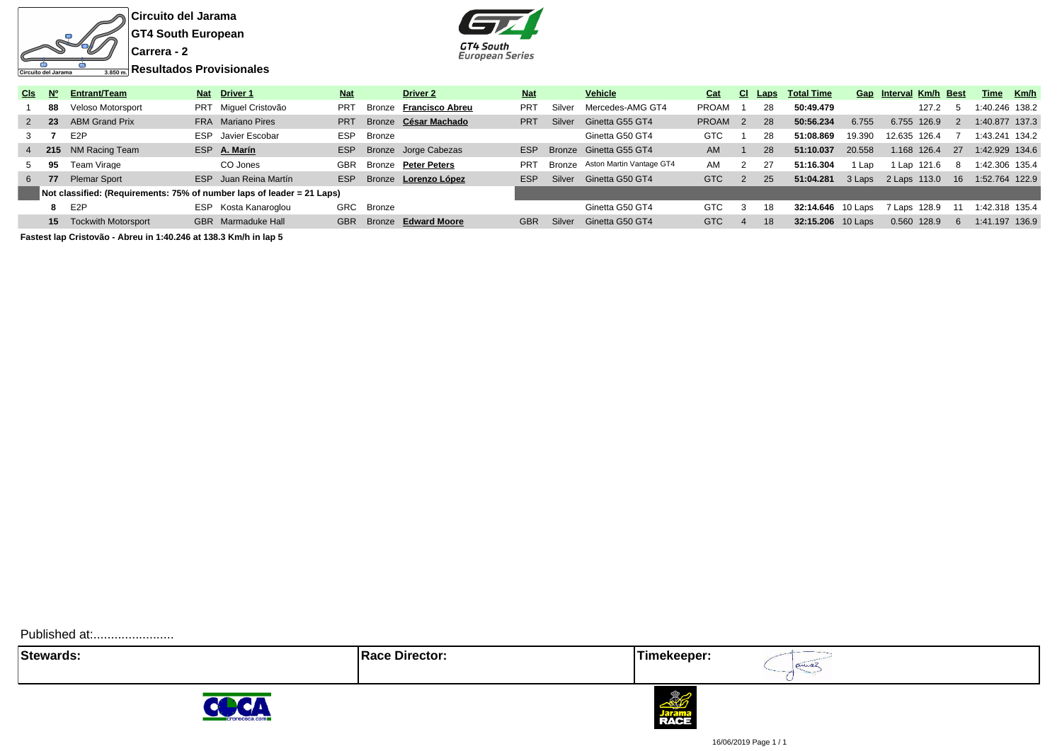

क

Circuito del Jarama

**GT4 South European**



| CIs .     | – N°            | Entrant/Team                                                           |     | Nat Driver 1          | <b>Nat</b> |            | Driver 2               | <b>Nat</b> |        | <b>Vehicle</b>                  | Cat                | -CI.           | Laps | <b>Total Time</b> |        | Gap Interval Km/h Best |    | Time           | Km/h |
|-----------|-----------------|------------------------------------------------------------------------|-----|-----------------------|------------|------------|------------------------|------------|--------|---------------------------------|--------------------|----------------|------|-------------------|--------|------------------------|----|----------------|------|
|           | 88              | Veloso Motorsport                                                      |     | PRT Miquel Cristovão  | <b>PRT</b> | Bronze     | <b>Francisco Abreu</b> | PRT        | Silver | Mercedes-AMG GT4                | PROAM              |                | 28   | 50:49.479         |        | 127.2                  |    | 1:40.246 138.2 |      |
| $2 \t 23$ |                 | <b>ABM Grand Prix</b>                                                  |     | FRA Mariano Pires     | <b>PRT</b> |            | Bronze César Machado   | <b>PRT</b> | Silver | Ginetta G55 GT4                 | PROAM <sub>2</sub> |                | 28   | 50:56.234         | 6.755  | 6.755 126.9            |    | 1:40.877 137.3 |      |
| 3         |                 | E <sub>2</sub> P                                                       |     | ESP Javier Escobar    | <b>ESP</b> | Bronze     |                        |            |        | Ginetta G50 GT4                 | <b>GTC</b>         |                | 28   | 51:08.869         | 19.390 | 12.635 126.4           |    | 1:43.241 134.2 |      |
|           |                 | 4 215 NM Racing Team                                                   | ESP | A. Marín              | ESP        |            | Bronze Jorge Cabezas   | ESP        |        | Bronze Ginetta G55 GT4          | AM                 |                | 28   | 51:10.037         | 20.558 | 1.168 126.4            | 27 | 1:42.929 134.6 |      |
|           | 95              | Team Virage                                                            |     | CO Jones              | <b>GBR</b> | Bronze     | <b>Peter Peters</b>    | <b>PRT</b> |        | Bronze Aston Martin Vantage GT4 | AM                 | 2              | 27   | 51:16.304         | Lap    | 1 Lap 121.6            | 8  | 1:42.306 135.4 |      |
| 6         | -77             | <b>Plemar Sport</b>                                                    |     | ESP Juan Reina Martín | <b>ESP</b> |            | Bronze Lorenzo López   | <b>ESP</b> |        | Silver Ginetta G50 GT4          | <b>GTC</b>         | 2              | 25   | 51:04.281         | 3 Laps | 2 Laps 113.0           | 16 | 1:52.764 122.9 |      |
|           |                 | Not classified: (Requirements: 75% of number laps of leader = 21 Laps) |     |                       |            |            |                        |            |        |                                 |                    |                |      |                   |        |                        |    |                |      |
|           | 8               | E <sub>2</sub> P                                                       |     | ESP Kosta Kanaroglou  |            | GRC Bronze |                        |            |        | Ginetta G50 GT4                 | <b>GTC</b>         | 3              | 18   | 32:14.646 10 Laps |        | 7 Laps 128.9           |    | 1:42.318 135.4 |      |
|           | 15 <sup>1</sup> | <b>Tockwith Motorsport</b>                                             |     | GBR Marmaduke Hall    | <b>GBR</b> | Bronze     | <b>Edward Moore</b>    | <b>GBR</b> | Silver | Ginetta G50 GT4                 | <b>GTC</b>         | $\overline{4}$ | 18   | 32:15.206 10 Laps |        | 0.560 128.9            |    | 1:41.197 136.9 |      |
|           |                 |                                                                        |     |                       |            |            |                        |            |        |                                 |                    |                |      |                   |        |                        |    |                |      |

**Fastest lap Cristovão - Abreu in 1:40.246 at 138.3 Km/h in lap 5**

Published at:........................

**Stewards:** Timekeeper:







16/06/2019 Page 1 / 1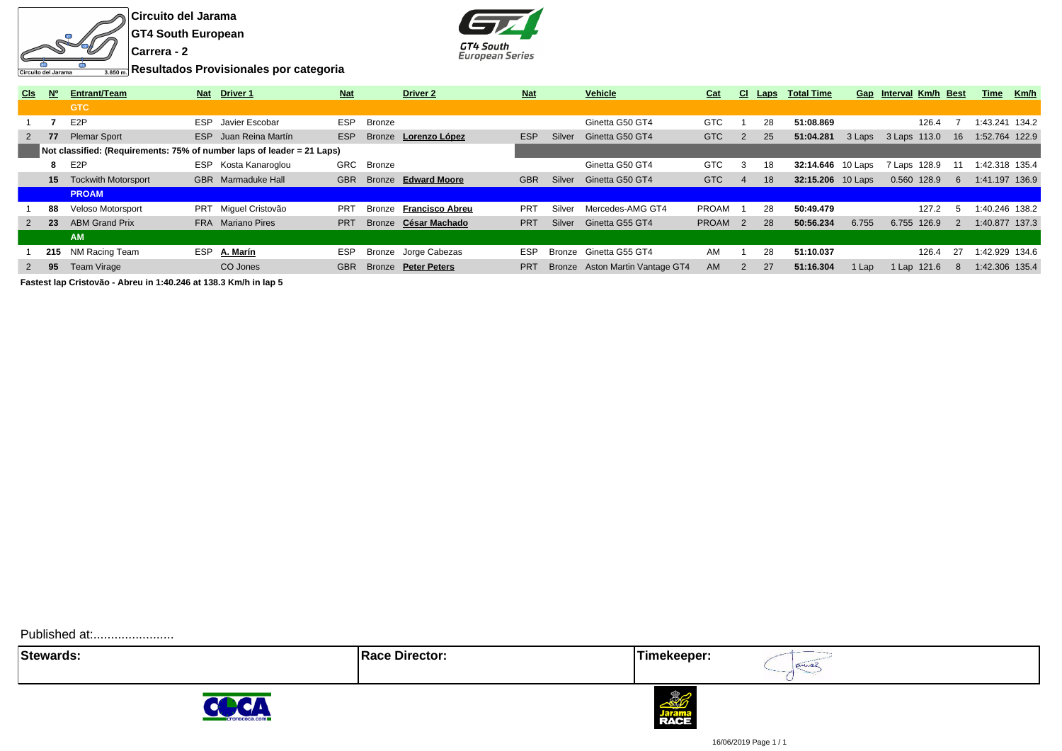

**GT4 South European**



**Resultados Provisionales por categoria**

| <b>CIs</b>        | <b>N°</b> | <b>Entrant/Team</b>                                                    |            | Nat Driver 1              | <b>Nat</b> |            | <b>Driver 2</b>             | <b>Nat</b> |        | Vehicle                         | Cat                |                | CI Laps | <b>Total Time</b> |         | Gap Interval Km/h Best |       |               | Time           | Km/h |
|-------------------|-----------|------------------------------------------------------------------------|------------|---------------------------|------------|------------|-----------------------------|------------|--------|---------------------------------|--------------------|----------------|---------|-------------------|---------|------------------------|-------|---------------|----------------|------|
|                   |           | <b>GTC</b>                                                             |            |                           |            |            |                             |            |        |                                 |                    |                |         |                   |         |                        |       |               |                |      |
|                   |           | E <sub>2</sub> P                                                       | <b>ESP</b> | Javier Escobar            | <b>ESP</b> | Bronze     |                             |            |        | Ginetta G50 GT4                 | <b>GTC</b>         |                | 28      | 51:08.869         |         |                        | 126.4 |               | :43.241 134.2  |      |
|                   | - 77      | <b>Plemar Sport</b>                                                    |            | ESP Juan Reina Martín     | <b>ESP</b> |            | Bronze <b>Lorenzo López</b> | <b>ESP</b> | Silver | Ginetta G50 GT4                 | <b>GTC</b>         |                | 25      | 51:04.281         | 3 Laps  | 3 Laps 113.0           |       | 16            | 1:52.764 122.9 |      |
|                   |           | Not classified: (Requirements: 75% of number laps of leader = 21 Laps) |            |                           |            |            |                             |            |        |                                 |                    |                |         |                   |         |                        |       |               |                |      |
|                   |           | E2P                                                                    | ESP.       | Kosta Kanaroglou          |            | GRC Bronze |                             |            |        | Ginetta G50 GT4                 | <b>GTC</b>         | 3              | 18      | 32:14.646         | 10 Laps | 7 Laps 128.9           |       |               | 1:42.318 135.4 |      |
|                   | 15        | <b>Tockwith Motorsport</b>                                             |            | <b>GBR</b> Marmaduke Hall | <b>GBR</b> |            | Bronze Edward Moore         | <b>GBR</b> | Silver | Ginetta G50 GT4                 | <b>GTC</b>         | $\overline{4}$ | 18      | 32:15.206 10 Laps |         | 0.560 128.9            |       | 6             | 1:41.197 136.9 |      |
|                   |           | <b>PROAM</b>                                                           |            |                           |            |            |                             |            |        |                                 |                    |                |         |                   |         |                        |       |               |                |      |
|                   | 88        | Veloso Motorsport                                                      |            | PRT Miquel Cristovão      | <b>PRT</b> | Bronze     | <b>Francisco Abreu</b>      | <b>PRT</b> | Silver | Mercedes-AMG GT4                | PROAM              |                | 28      | 50:49.479         |         |                        | 127.2 | $\mathcal{L}$ | 1:40.246 138.2 |      |
| $2^{\frac{1}{2}}$ |           | <b>ABM Grand Prix</b>                                                  |            | FRA Mariano Pires         | <b>PRT</b> |            | Bronze César Machado        | <b>PRT</b> | Silver | Ginetta G55 GT4                 | PROAM <sub>2</sub> |                | 28      | 50:56.234         | 6.755   | 6.755 126.9            |       | $-2$          | 1:40.877 137.3 |      |
|                   |           | <b>AM</b>                                                              |            |                           |            |            |                             |            |        |                                 |                    |                |         |                   |         |                        |       |               |                |      |
|                   |           | 215 NM Racing Team                                                     | <b>ESP</b> | A. Marín                  | <b>ESP</b> |            | Bronze Jorge Cabezas        | <b>ESP</b> |        | Bronze Ginetta G55 GT4          | AM                 |                | 28      | 51:10.037         |         |                        | 126.4 | 27            | 1:42.929 134.6 |      |
|                   | - 95      | Team Virage                                                            |            | CO Jones                  | <b>GBR</b> |            | Bronze Peter Peters         | <b>PRT</b> |        | Bronze Aston Martin Vantage GT4 | <b>AM</b>          | 2              | 27      | 51:16.304         | 1 Lap   | 1 Lap 121.6            |       | -8            | 1:42.306 135.4 |      |
|                   |           |                                                                        |            |                           |            |            |                             |            |        |                                 |                    |                |         |                   |         |                        |       |               |                |      |

**Fastest lap Cristovão - Abreu in 1:40.246 at 138.3 Km/h in lap 5**

Published at:........................

**Stewards:** Timekeeper:





prince



16/06/2019 Page 1 / 1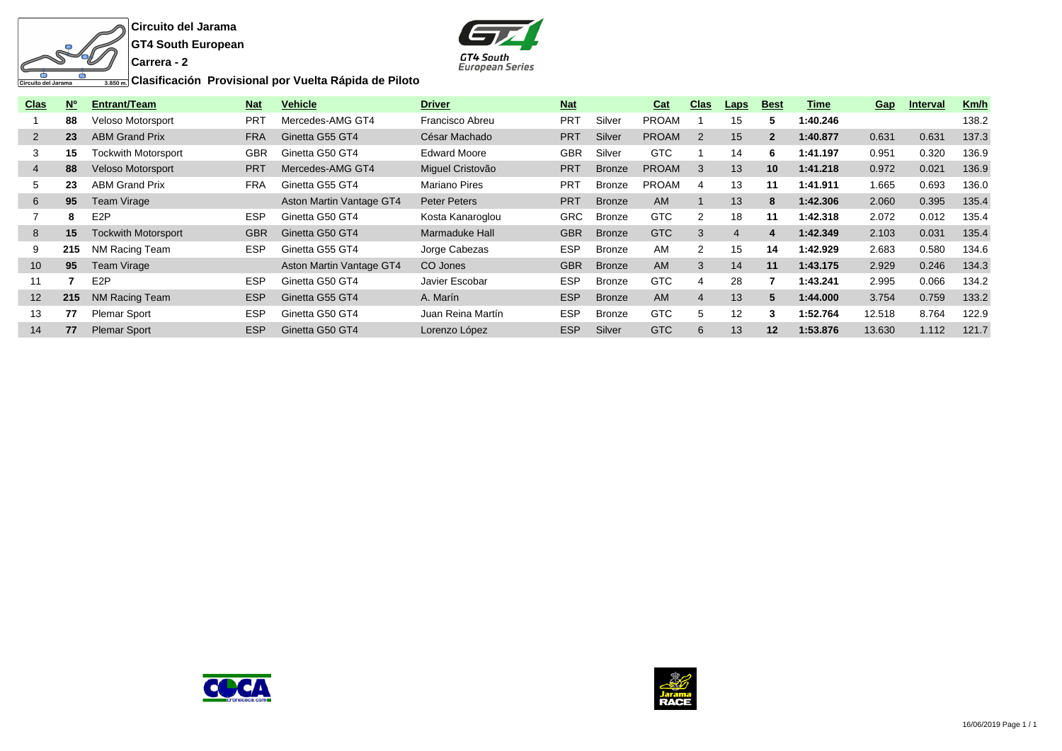

**GT4 South European**



**Clasificación Provisional por Vuelta Rápida de Piloto**

| <b>Clas</b>     | <b>No</b> | Entrant/Team               | <b>Nat</b> | <b>Vehicle</b>           | <b>Driver</b>        | <b>Nat</b> |               | Cat          | <b>Clas</b>    | <b>Laps</b>    | <b>Best</b>  | Time     | Gap    | <b>Interval</b> | Km/h  |
|-----------------|-----------|----------------------------|------------|--------------------------|----------------------|------------|---------------|--------------|----------------|----------------|--------------|----------|--------|-----------------|-------|
|                 | 88        | <b>Veloso Motorsport</b>   | <b>PRT</b> | Mercedes-AMG GT4         | Francisco Abreu      | <b>PRT</b> | Silver        | <b>PROAM</b> |                | 15             |              | 1:40.246 |        |                 | 138.2 |
| $\overline{2}$  | 23        | <b>ABM Grand Prix</b>      | <b>FRA</b> | Ginetta G55 GT4          | César Machado        | <b>PRT</b> | Silver        | <b>PROAM</b> | 2              | 15             | $\mathbf{2}$ | 1:40.877 | 0.631  | 0.631           | 137.3 |
| 3               | 15        | <b>Tockwith Motorsport</b> | <b>GBR</b> | Ginetta G50 GT4          | <b>Edward Moore</b>  | <b>GBR</b> | Silver        | <b>GTC</b>   |                | 14             | 6            | 1:41.197 | 0.951  | 0.320           | 136.9 |
| $\overline{4}$  | 88        | <b>Veloso Motorsport</b>   | <b>PRT</b> | Mercedes-AMG GT4         | Miquel Cristovão     | <b>PRT</b> | <b>Bronze</b> | <b>PROAM</b> | 3              | 13             | 10           | 1:41.218 | 0.972  | 0.021           | 136.9 |
| 5               | 23        | <b>ABM Grand Prix</b>      | <b>FRA</b> | Ginetta G55 GT4          | <b>Mariano Pires</b> | <b>PRT</b> | Bronze        | <b>PROAM</b> | 4              | 13             | 11           | 1:41.911 | 1.665  | 0.693           | 136.0 |
| 6               | 95        | Team Virage                |            | Aston Martin Vantage GT4 | Peter Peters         | <b>PRT</b> | <b>Bronze</b> | <b>AM</b>    |                | 13             | 8            | 1:42.306 | 2.060  | 0.395           | 135.4 |
|                 | 8         | E <sub>2</sub> P           | <b>ESP</b> | Ginetta G50 GT4          | Kosta Kanaroglou     | <b>GRC</b> | Bronze        | <b>GTC</b>   | $\overline{2}$ | 18             | 11           | 1:42.318 | 2.072  | 0.012           | 135.4 |
| 8               | 15        | <b>Tockwith Motorsport</b> | <b>GBR</b> | Ginetta G50 GT4          | Marmaduke Hall       | <b>GBR</b> | <b>Bronze</b> | GTC          | 3              | $\overline{4}$ | 4            | 1:42.349 | 2.103  | 0.031           | 135.4 |
| 9               | 215       | NM Racing Team             | <b>ESP</b> | Ginetta G55 GT4          | Jorge Cabezas        | <b>ESP</b> | Bronze        | AM           | 2              | 15             | 14           | 1:42.929 | 2.683  | 0.580           | 134.6 |
| 10 <sup>°</sup> | 95        | Team Virage                |            | Aston Martin Vantage GT4 | CO Jones             | <b>GBR</b> | <b>Bronze</b> | <b>AM</b>    | 3              | 14             | 11           | 1:43.175 | 2.929  | 0.246           | 134.3 |
| 11              |           | E <sub>2</sub> P           | <b>ESP</b> | Ginetta G50 GT4          | Javier Escobar       | <b>ESP</b> | Bronze        | <b>GTC</b>   | 4              | 28             |              | 1:43.241 | 2.995  | 0.066           | 134.2 |
| 12 <sup>2</sup> | 215       | NM Racing Team             | <b>ESP</b> | Ginetta G55 GT4          | A. Marín             | <b>ESP</b> | <b>Bronze</b> | <b>AM</b>    | $\overline{4}$ | 13             | 5.           | 1:44.000 | 3.754  | 0.759           | 133.2 |
| 13              | 77        | <b>Plemar Sport</b>        | <b>ESP</b> | Ginetta G50 GT4          | Juan Reina Martín    | <b>ESP</b> | Bronze        | <b>GTC</b>   | 5              | 12             | 3            | 1:52.764 | 12.518 | 8.764           | 122.9 |
| 14              | 77        | <b>Plemar Sport</b>        | <b>ESP</b> | Ginetta G50 GT4          | Lorenzo López        | <b>ESP</b> | Silver        | GTC          | 6              | 13             | 12           | 1:53.876 | 13.630 | 1.112           | 121.7 |



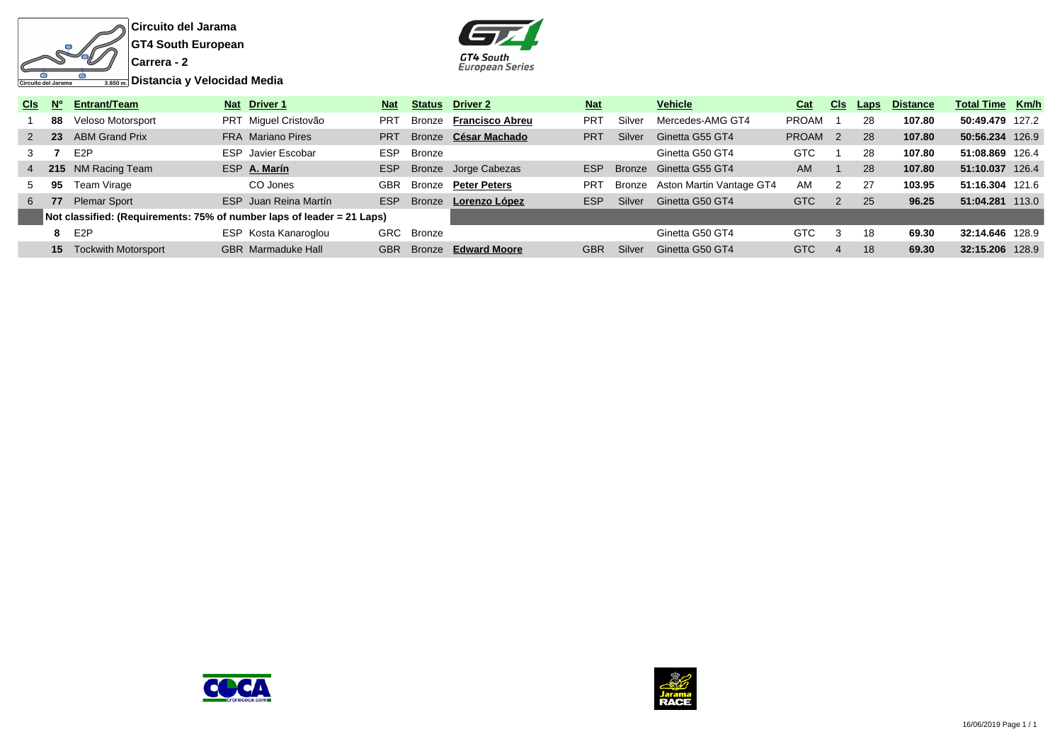



| C <sub>ls</sub> | N° | Entrant/Team                                                           | Nat Driver 1              | <b>Nat</b>      | <b>Status</b> | Driver 2               | <b>Nat</b> |        | <b>Vehicle</b>           | Cat          | <b>CIS</b>     | Laps | <b>Distance</b> | <b>Total Time Km/h</b> |  |
|-----------------|----|------------------------------------------------------------------------|---------------------------|-----------------|---------------|------------------------|------------|--------|--------------------------|--------------|----------------|------|-----------------|------------------------|--|
|                 | 88 | Veloso Motorsport                                                      | PRT Miquel Cristovão      | PR <sub>1</sub> | Bronze        | <b>Francisco Abreu</b> | <b>PRT</b> | Silver | Mercedes-AMG GT4         | PROAM        |                | 28   | 107.80          | 50:49.479 127.2        |  |
|                 |    | 2 23 ABM Grand Prix                                                    | <b>FRA</b> Mariano Pires  | <b>PRT</b>      |               | Bronze César Machado   | PRT        | Silver | Ginetta G55 GT4          | <b>PROAM</b> | $\overline{2}$ | 28   | 107.80          | 50:56.234 126.9        |  |
|                 |    | E2P                                                                    | <b>ESP</b> Javier Escobar | ESP             | Bronze        |                        |            |        | Ginetta G50 GT4          | GTC          |                | 28   | 107.80          | 51:08.869 126.4        |  |
|                 |    | 4 215 NM Racing Team                                                   | ESP A. Marín              | <b>ESP</b>      |               | Bronze Jorge Cabezas   | <b>FSP</b> |        | Bronze Ginetta G55 GT4   | <b>AM</b>    |                | 28   | 107.80          | 51:10.037 126.4        |  |
| 5               | 95 | Team Virage                                                            | CO Jones                  | GBR             | Bronze        | <b>Peter Peters</b>    | <b>PRT</b> | Bronze | Aston Martin Vantage GT4 | <b>AM</b>    | $\mathcal{P}$  | 27   | 103.95          | 51:16.304 121.6        |  |
|                 |    | 6 77 Plemar Sport                                                      | ESP Juan Reina Martín     | <b>ESP</b>      | <b>Bronze</b> | Lorenzo López          | <b>ESP</b> | Silver | Ginetta G50 GT4          | GTC          |                | 25   | 96.25           | 51:04.281 113.0        |  |
|                 |    | Not classified: (Requirements: 75% of number laps of leader = 21 Laps) |                           |                 |               |                        |            |        |                          |              |                |      |                 |                        |  |
|                 |    | 8 E2P                                                                  | ESP Kosta Kanaroglou      | GRC             | Bronze        |                        |            |        | Ginetta G50 GT4          | <b>GTC</b>   | -3             | 18   | 69.30           | 32:14.646 128.9        |  |
|                 |    | <b>15</b> Tockwith Motorsport                                          | <b>GBR</b> Marmaduke Hall | <b>GBR</b>      | <b>Bronze</b> | <b>Edward Moore</b>    | <b>GBR</b> | Silver | Ginetta G50 GT4          | GTC          | $\overline{4}$ | 18   | 69.30           | 32:15.206 128.9        |  |



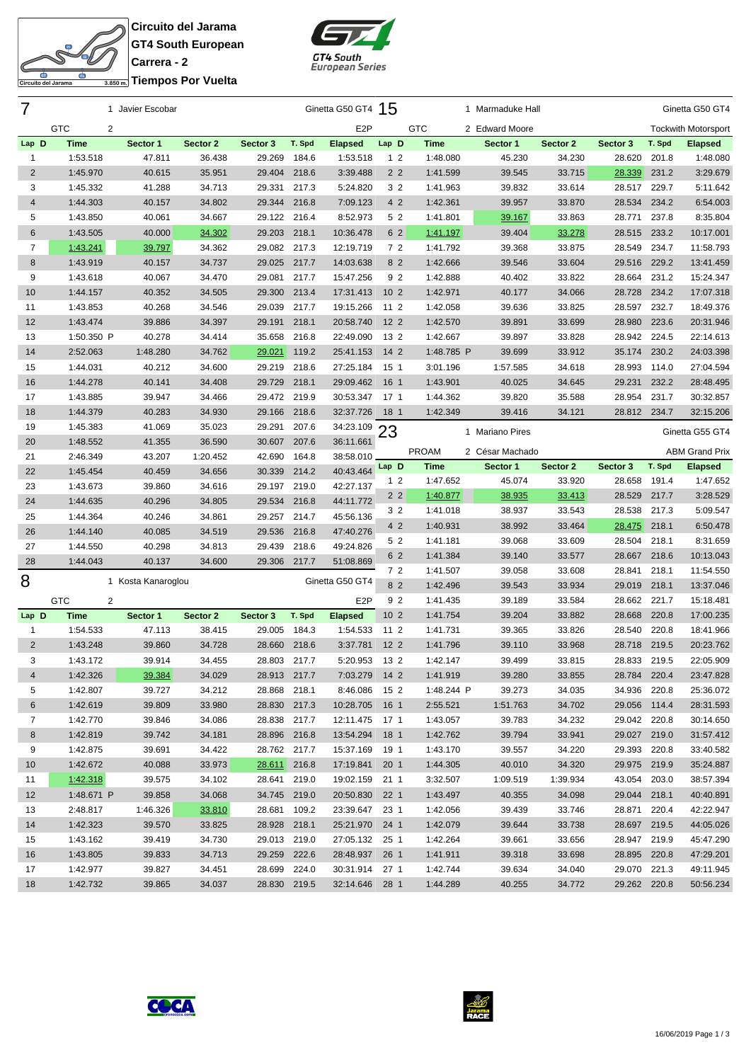**Circuito del Jarama GT4 South European Carrera - 2 Triempos Por Vuelta** 

SE

Circuito del Jarama

굴



| 7               |                 | 1 Javier Escobar   |          |              |        | Ginetta G50 GT4 15 |                 |              | 1 Marmaduke Hall |          |              |        | Ginetta G50 GT4            |
|-----------------|-----------------|--------------------|----------|--------------|--------|--------------------|-----------------|--------------|------------------|----------|--------------|--------|----------------------------|
|                 | <b>GTC</b><br>2 |                    |          |              |        | E <sub>2</sub> P   |                 | <b>GTC</b>   | 2 Edward Moore   |          |              |        | <b>Tockwith Motorsport</b> |
| Lap D           | <b>Time</b>     | Sector 1           | Sector 2 | Sector 3     | T. Spd | <b>Elapsed</b>     | Lap D           | Time         | Sector 1         | Sector 2 | Sector 3     | T. Spd | <b>Elapsed</b>             |
| 1               | 1:53.518        | 47.811             | 36.438   | 29.269       | 184.6  | 1:53.518           | 1 <sub>2</sub>  | 1:48.080     | 45.230           | 34.230   | 28.620       | 201.8  | 1:48.080                   |
| $\overline{2}$  | 1:45.970        | 40.615             | 35.951   | 29.404       | 218.6  | 3:39.488           | 2 <sub>2</sub>  | 1:41.599     | 39.545           | 33.715   | 28.339       | 231.2  | 3:29.679                   |
| 3               | 1:45.332        | 41.288             | 34.713   | 29.331       | 217.3  | 5:24.820           | 3 <sub>2</sub>  | 1:41.963     | 39.832           | 33.614   | 28.517       | 229.7  | 5:11.642                   |
| 4               | 1:44.303        | 40.157             | 34.802   | 29.344       | 216.8  | 7:09.123           | 4 2             | 1:42.361     | 39.957           | 33.870   | 28.534       | 234.2  | 6:54.003                   |
| 5               | 1:43.850        | 40.061             | 34.667   | 29.122       | 216.4  | 8:52.973           | 5 2             | 1:41.801     | 39.167           | 33.863   | 28.771       | 237.8  | 8:35.804                   |
| 6               | 1:43.505        | 40.000             | 34.302   | 29.203       | 218.1  | 10:36.478          | 6 2             | 1:41.197     | 39.404           | 33.278   | 28.515       | 233.2  | 10:17.001                  |
| 7               | 1:43.241        | 39.797             | 34.362   | 29.082       | 217.3  | 12:19.719          | 72              | 1:41.792     | 39.368           | 33.875   | 28.549       | 234.7  | 11:58.793                  |
| 8               | 1:43.919        | 40.157             | 34.737   | 29.025       | 217.7  | 14:03.638          | 8 2             | 1:42.666     | 39.546           | 33.604   | 29.516       | 229.2  | 13:41.459                  |
| 9               | 1:43.618        | 40.067             | 34.470   | 29.081       | 217.7  | 15:47.256          | 9 2             | 1:42.888     | 40.402           | 33.822   | 28.664       | 231.2  | 15:24.347                  |
| 10              | 1:44.157        | 40.352             | 34.505   | 29.300       | 213.4  | 17:31.413          | 10 <sub>2</sub> | 1:42.971     | 40.177           | 34.066   | 28.728       | 234.2  | 17:07.318                  |
| 11              | 1:43.853        | 40.268             | 34.546   | 29.039       | 217.7  | 19:15.266          | 11 2            | 1:42.058     | 39.636           | 33.825   | 28.597       | 232.7  | 18:49.376                  |
| 12              | 1:43.474        | 39.886             | 34.397   | 29.191       | 218.1  | 20:58.740          | 12 <sub>2</sub> | 1:42.570     | 39.891           | 33.699   | 28.980       | 223.6  | 20:31.946                  |
| 13              | 1:50.350 P      | 40.278             | 34.414   | 35.658       | 216.8  | 22:49.090          | 13 2            | 1:42.667     | 39.897           | 33.828   | 28.942       | 224.5  | 22:14.613                  |
| 14              | 2:52.063        | 1:48.280           | 34.762   | 29.021       | 119.2  | 25:41.153          | $142$           | 1:48.785 P   | 39.699           | 33.912   | 35.174       | 230.2  | 24:03.398                  |
| 15              | 1:44.031        | 40.212             | 34.600   | 29.219       | 218.6  | 27:25.184          | 15 <sub>1</sub> | 3:01.196     | 1:57.585         | 34.618   | 28.993       | 114.0  | 27:04.594                  |
| 16              | 1:44.278        | 40.141             | 34.408   | 29.729       | 218.1  | 29:09.462          | 16 1            | 1:43.901     | 40.025           | 34.645   | 29.231       | 232.2  | 28:48.495                  |
| 17              | 1:43.885        | 39.947             | 34.466   | 29.472 219.9 |        | 30:53.347          | 17 1            | 1:44.362     | 39.820           | 35.588   | 28.954       | 231.7  | 30:32.857                  |
| 18              | 1:44.379        | 40.283             | 34.930   | 29.166       | 218.6  | 32:37.726          | 18 1            | 1:42.349     | 39.416           | 34.121   | 28.812 234.7 |        | 32:15.206                  |
| 19              | 1:45.383        | 41.069             | 35.023   | 29.291       | 207.6  | 34:23.109          |                 |              |                  |          |              |        |                            |
| 20              | 1:48.552        | 41.355             | 36.590   | 30.607       | 207.6  | 36:11.661          | 23              |              | 1 Mariano Pires  |          |              |        | Ginetta G55 GT4            |
| 21              | 2:46.349        | 43.207             | 1:20.452 | 42.690       | 164.8  | 38:58.010          |                 | <b>PROAM</b> | 2 César Machado  |          |              |        | <b>ABM Grand Prix</b>      |
| 22              | 1:45.454        | 40.459             | 34.656   | 30.339       | 214.2  | 40:43.464          | Lap D           | <b>Time</b>  | Sector 1         | Sector 2 | Sector 3     | T. Spd | <b>Elapsed</b>             |
| 23              | 1:43.673        | 39.860             | 34.616   | 29.197 219.0 |        | 42:27.137          | 1 <sub>2</sub>  | 1:47.652     | 45.074           | 33.920   | 28.658       | 191.4  | 1:47.652                   |
| 24              | 1:44.635        | 40.296             | 34.805   | 29.534       | 216.8  | 44:11.772          | 2 <sub>2</sub>  | 1:40.877     | 38.935           | 33.413   | 28.529       | 217.7  | 3:28.529                   |
| 25              | 1:44.364        | 40.246             | 34.861   | 29.257       | 214.7  | 45:56.136          | 3 <sub>2</sub>  | 1:41.018     | 38.937           | 33.543   | 28.538       | 217.3  | 5:09.547                   |
| 26              | 1:44.140        | 40.085             | 34.519   | 29.536       | 216.8  | 47:40.276          | 4 2             | 1:40.931     | 38.992           | 33.464   | 28.475 218.1 |        | 6:50.478                   |
| 27              | 1:44.550        | 40.298             | 34.813   | 29.439       | 218.6  | 49:24.826          | 5 2             | 1:41.181     | 39.068           | 33.609   | 28.504       | 218.1  | 8:31.659                   |
| 28              | 1:44.043        | 40.137             | 34.600   | 29.306       | 217.7  | 51:08.869          | 6 2             | 1:41.384     | 39.140           | 33.577   | 28.667 218.6 |        | 10:13.043                  |
|                 |                 |                    |          |              |        |                    | 7 <sub>2</sub>  | 1:41.507     | 39.058           | 33.608   | 28.841       | 218.1  | 11:54.550                  |
| 8               |                 | 1 Kosta Kanaroglou |          |              |        | Ginetta G50 GT4    | 8 2             | 1:42.496     | 39.543           | 33.934   | 29.019 218.1 |        | 13:37.046                  |
|                 | <b>GTC</b><br>2 |                    |          |              |        | E <sub>2</sub> P   | 9 <sub>2</sub>  | 1:41.435     | 39.189           | 33.584   | 28.662       | 221.7  | 15:18.481                  |
| Lap D           | <b>Time</b>     | Sector 1           | Sector 2 | Sector 3     | T. Spd | <b>Elapsed</b>     | 10 <sub>2</sub> | 1:41.754     | 39.204           | 33.882   | 28.668       | 220.8  | 17:00.235                  |
| $\mathbf{1}$    | 1:54.533        | 47.113             | 38.415   | 29.005       | 184.3  | 1:54.533           | 11 2            | 1:41.731     | 39.365           | 33.826   | 28.540       | 220.8  | 18:41.966                  |
| $\overline{2}$  | 1:43.248        | 39.860             | 34.728   | 28.660       | 218.6  | 3:37.781           | 12 <sub>2</sub> | 1:41.796     | 39.110           | 33.968   | 28.718       | 219.5  | 20:23.762                  |
| 3               | 1:43.172        | 39.914             | 34.455   | 28.803 217.7 |        | 5:20.953           | 13 2            | 1:42.147     | 39.499           | 33.815   | 28.833       | 219.5  | 22:05.909                  |
| 4               | 1:42.326        | 39.384             | 34.029   | 28.913 217.7 |        | 7:03.279 14 2      |                 | 1:41.919     | 39.280           | 33.855   | 28.784 220.4 |        | 23:47.828                  |
| 5               | 1:42.807        | 39.727             | 34.212   | 28.868       | 218.1  | 8:46.086           | 15 2            | 1:48.244 P   | 39.273           | 34.035   | 34.936       | 220.8  | 25:36.072                  |
| 6               | 1:42.619        | 39.809             | 33.980   | 28.830 217.3 |        | 10:28.705          | 16 1            | 2:55.521     | 1:51.763         | 34.702   | 29.056 114.4 |        | 28:31.593                  |
| $\overline{7}$  | 1:42.770        | 39.846             | 34.086   | 28.838 217.7 |        | 12:11.475          | 17 1            | 1:43.057     | 39.783           | 34.232   | 29.042 220.8 |        | 30:14.650                  |
| 8               | 1:42.819        | 39.742             | 34.181   | 28.896 216.8 |        | 13:54.294          | 18 1            | 1:42.762     | 39.794           | 33.941   | 29.027 219.0 |        | 31:57.412                  |
| 9               | 1:42.875        | 39.691             | 34.422   | 28.762 217.7 |        | 15:37.169          | 19 1            | 1:43.170     | 39.557           | 34.220   | 29.393 220.8 |        | 33:40.582                  |
| 10 <sup>°</sup> | 1:42.672        | 40.088             | 33.973   | 28.611 216.8 |        | 17:19.841          | 20 <sub>1</sub> | 1:44.305     | 40.010           | 34.320   | 29.975 219.9 |        | 35:24.887                  |
| 11              | 1:42.318        | 39.575             | 34.102   | 28.641 219.0 |        | 19:02.159          | 211             | 3:32.507     | 1:09.519         | 1:39.934 | 43.054 203.0 |        | 38:57.394                  |
| 12              | 1:48.671 P      | 39.858             | 34.068   | 34.745 219.0 |        | 20:50.830          | 22 <sub>1</sub> | 1:43.497     | 40.355           | 34.098   | 29.044 218.1 |        | 40:40.891                  |
| 13              | 2:48.817        | 1:46.326           | 33.810   | 28.681 109.2 |        | 23:39.647          | 23 1            | 1:42.056     | 39.439           | 33.746   | 28.871 220.4 |        | 42:22.947                  |
| 14              | 1:42.323        | 39.570             | 33.825   | 28.928 218.1 |        | 25:21.970 24 1     |                 | 1:42.079     | 39.644           | 33.738   | 28.697 219.5 |        | 44:05.026                  |
| 15              | 1:43.162        | 39.419             | 34.730   | 29.013 219.0 |        | 27:05.132 25 1     |                 | 1:42.264     | 39.661           | 33.656   | 28.947 219.9 |        | 45:47.290                  |
| 16              | 1:43.805        | 39.833             | 34.713   | 29.259 222.6 |        | 28:48.937 26 1     |                 | 1:41.911     | 39.318           | 33.698   | 28.895 220.8 |        | 47:29.201                  |
| 17              | 1:42.977        | 39.827             | 34.451   | 28.699 224.0 |        | 30:31.914          | 27 <sub>1</sub> | 1:42.744     | 39.634           | 34.040   | 29.070 221.3 |        | 49:11.945                  |
| 18              | 1:42.732        | 39.865             | 34.037   | 28.830 219.5 |        | 32:14.646 28 1     |                 | 1:44.289     | 40.255           | 34.772   | 29.262 220.8 |        | 50:56.234                  |
|                 |                 |                    |          |              |        |                    |                 |              |                  |          |              |        |                            |



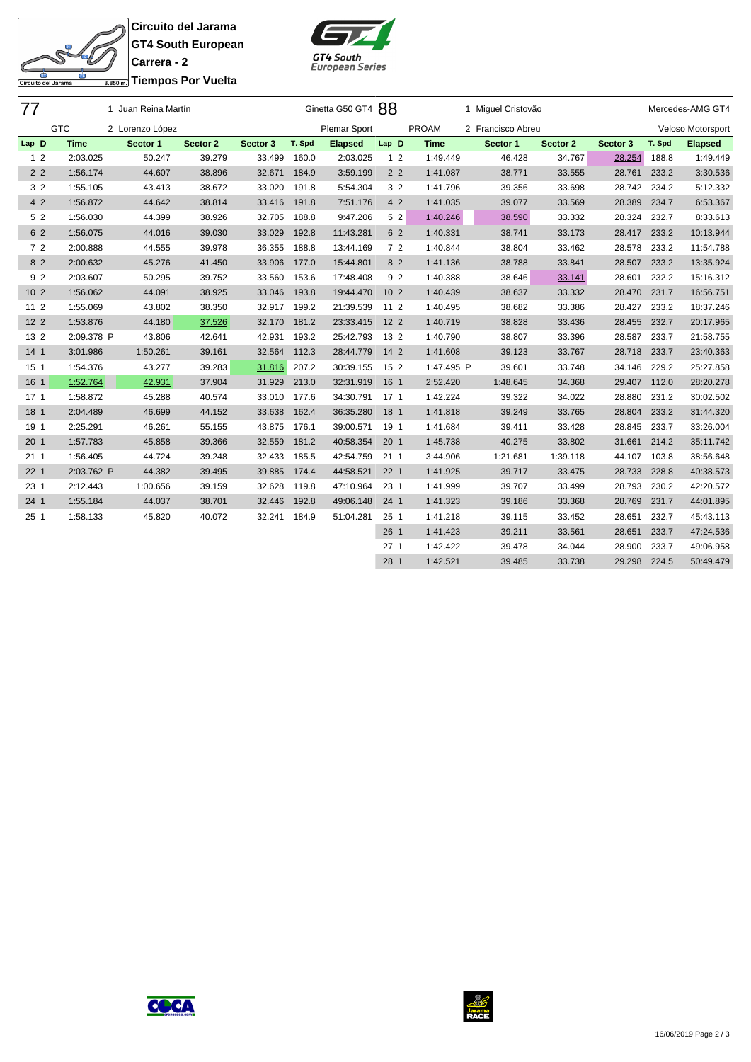SE 굴 Circuito del Jarama

**Circuito del Jarama GT4 South European Carrera - 2 Tiempos Por Vuelta**



| 77              |             | 1 Juan Reina Martín |          |          |        | Ginetta G50 GT4 88  |                 |             | 1 Miguel Cristovão |          |              |        | Mercedes-AMG GT4  |
|-----------------|-------------|---------------------|----------|----------|--------|---------------------|-----------------|-------------|--------------------|----------|--------------|--------|-------------------|
|                 | <b>GTC</b>  | 2 Lorenzo López     |          |          |        | <b>Plemar Sport</b> |                 | PROAM       | 2 Francisco Abreu  |          |              |        | Veloso Motorsport |
| Lap D           | <b>Time</b> | Sector 1            | Sector 2 | Sector 3 | T. Spd | <b>Elapsed</b>      | Lap D           | <b>Time</b> | Sector 1           | Sector 2 | Sector 3     | T. Spd | <b>Elapsed</b>    |
| 1 <sub>2</sub>  | 2:03.025    | 50.247              | 39.279   | 33.499   | 160.0  | 2:03.025            | 1 <sub>2</sub>  | 1:49.449    | 46.428             | 34.767   | 28.254       | 188.8  | 1:49.449          |
| 2 <sub>2</sub>  | 1:56.174    | 44.607              | 38.896   | 32.671   | 184.9  | 3:59.199            | 2 <sub>2</sub>  | 1:41.087    | 38.771             | 33.555   | 28.761       | 233.2  | 3:30.536          |
| 3 2             | 1:55.105    | 43.413              | 38.672   | 33.020   | 191.8  | 5:54.304            | 3 2             | 1:41.796    | 39.356             | 33.698   | 28.742       | 234.2  | 5:12.332          |
| 4 2             | 1:56.872    | 44.642              | 38.814   | 33.416   | 191.8  | 7:51.176            | 4 2             | 1:41.035    | 39.077             | 33.569   | 28.389       | 234.7  | 6:53.367          |
| 5 2             | 1:56.030    | 44.399              | 38.926   | 32.705   | 188.8  | 9:47.206            | 5 2             | 1:40.246    | 38.590             | 33.332   | 28.324       | 232.7  | 8:33.613          |
| 6 2             | 1:56.075    | 44.016              | 39.030   | 33.029   | 192.8  | 11:43.281           | 6 2             | 1:40.331    | 38.741             | 33.173   | 28.417 233.2 |        | 10:13.944         |
| 72              | 2:00.888    | 44.555              | 39.978   | 36.355   | 188.8  | 13:44.169           | 72              | 1:40.844    | 38.804             | 33.462   | 28.578       | 233.2  | 11:54.788         |
| 8 2             | 2:00.632    | 45.276              | 41.450   | 33.906   | 177.0  | 15:44.801           | 8 2             | 1:41.136    | 38.788             | 33.841   | 28.507       | 233.2  | 13:35.924         |
| 92              | 2:03.607    | 50.295              | 39.752   | 33.560   | 153.6  | 17:48.408           | 9 2             | 1:40.388    | 38.646             | 33.141   | 28.601       | 232.2  | 15:16.312         |
| 10 <sub>2</sub> | 1:56.062    | 44.091              | 38.925   | 33.046   | 193.8  | 19:44.470           | 10 <sub>2</sub> | 1:40.439    | 38.637             | 33.332   | 28.470       | 231.7  | 16:56.751         |
| $112$           | 1:55.069    | 43.802              | 38.350   | 32.917   | 199.2  | 21:39.539           | 11 <sub>2</sub> | 1:40.495    | 38.682             | 33.386   | 28.427       | 233.2  | 18:37.246         |
| $122$           | 1:53.876    | 44.180              | 37.526   | 32.170   | 181.2  | 23:33.415           | 12 <sub>2</sub> | 1:40.719    | 38.828             | 33.436   | 28.455       | 232.7  | 20:17.965         |
| 13 2            | 2:09.378 P  | 43.806              | 42.641   | 42.931   | 193.2  | 25:42.793           | 13 2            | 1:40.790    | 38.807             | 33.396   | 28.587       | 233.7  | 21:58.755         |
| 14 <sub>1</sub> | 3:01.986    | 1:50.261            | 39.161   | 32.564   | 112.3  | 28:44.779           | $142$           | 1:41.608    | 39.123             | 33.767   | 28.718 233.7 |        | 23:40.363         |
| 15 <sub>1</sub> | 1:54.376    | 43.277              | 39.283   | 31.816   | 207.2  | 30:39.155           | 15 2            | 1:47.495 P  | 39.601             | 33.748   | 34.146       | 229.2  | 25:27.858         |
| 16 1            | 1:52.764    | 42.931              | 37.904   | 31.929   | 213.0  | 32:31.919           | 16 1            | 2:52.420    | 1:48.645           | 34.368   | 29.407       | 112.0  | 28:20.278         |
| 17 <sub>1</sub> | 1:58.872    | 45.288              | 40.574   | 33.010   | 177.6  | 34:30.791           | 17 <sub>1</sub> | 1:42.224    | 39.322             | 34.022   | 28.880       | 231.2  | 30:02.502         |
| 18 1            | 2:04.489    | 46.699              | 44.152   | 33.638   | 162.4  | 36:35.280           | 18 1            | 1:41.818    | 39.249             | 33.765   | 28.804       | 233.2  | 31:44.320         |
| 19 1            | 2:25.291    | 46.261              | 55.155   | 43.875   | 176.1  | 39:00.571           | 19 1            | 1:41.684    | 39.411             | 33.428   | 28.845       | 233.7  | 33:26.004         |
| 20 <sub>1</sub> | 1:57.783    | 45.858              | 39.366   | 32.559   | 181.2  | 40:58.354           | 20 <sub>1</sub> | 1:45.738    | 40.275             | 33.802   | 31.661       | 214.2  | 35:11.742         |
| 211             | 1:56.405    | 44.724              | 39.248   | 32.433   | 185.5  | 42:54.759           | 211             | 3:44.906    | 1:21.681           | 1:39.118 | 44.107       | 103.8  | 38:56.648         |
| 22 <sub>1</sub> | 2:03.762 P  | 44.382              | 39.495   | 39.885   | 174.4  | 44:58.521           | 22 <sub>1</sub> | 1:41.925    | 39.717             | 33.475   | 28.733       | 228.8  | 40:38.573         |
| 23 1            | 2:12.443    | 1:00.656            | 39.159   | 32.628   | 119.8  | 47:10.964           | 23 1            | 1:41.999    | 39.707             | 33.499   | 28.793       | 230.2  | 42:20.572         |
| 24 <sub>1</sub> | 1:55.184    | 44.037              | 38.701   | 32.446   | 192.8  | 49:06.148           | 24 <sub>1</sub> | 1:41.323    | 39.186             | 33.368   | 28.769       | 231.7  | 44:01.895         |
| 25 <sub>1</sub> | 1:58.133    | 45.820              | 40.072   | 32.241   | 184.9  | 51:04.281           | 25 <sub>1</sub> | 1:41.218    | 39.115             | 33.452   | 28.651       | 232.7  | 45:43.113         |
|                 |             |                     |          |          |        |                     | 26 <sub>1</sub> | 1:41.423    | 39.211             | 33.561   | 28.651       | 233.7  | 47:24.536         |
|                 |             |                     |          |          |        |                     | 27 <sub>1</sub> | 1:42.422    | 39.478             | 34.044   | 28.900       | 233.7  | 49:06.958         |
|                 |             |                     |          |          |        |                     | 28 1            | 1:42.521    | 39.485             | 33.738   | 29.298       | 224.5  | 50:49.479         |



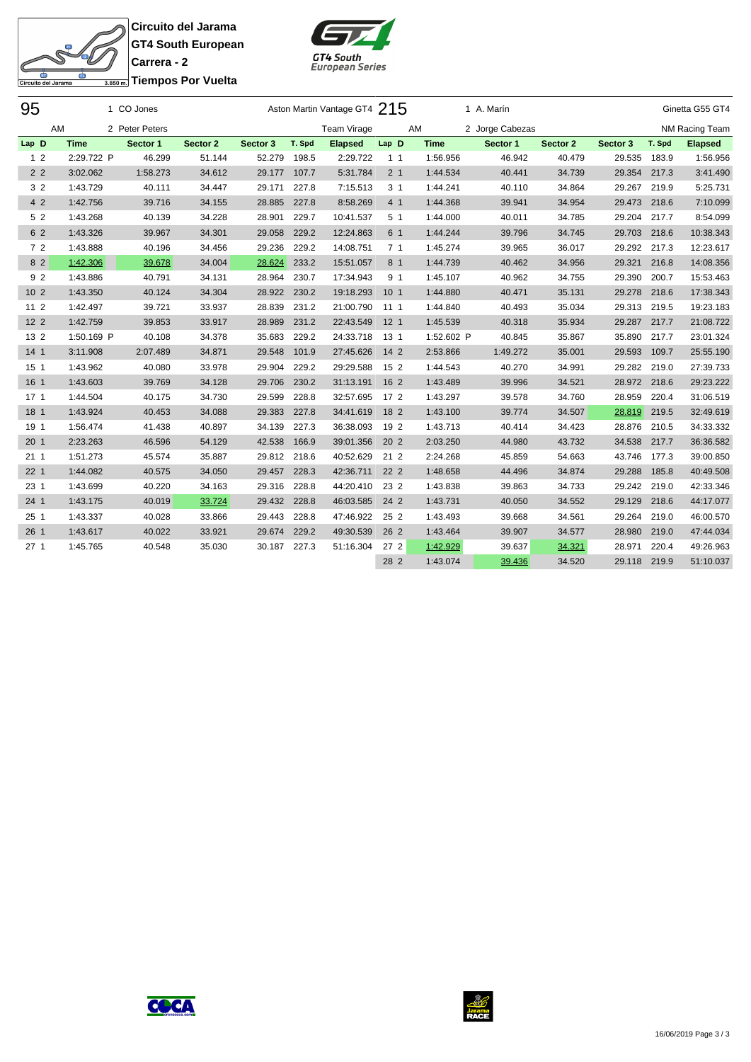**Circuito del Jarama GT4 South European Carrera - 2**



| 3.850m. Tiempos Por Vuelta |  |
|----------------------------|--|

SF

ढ

Circuito del Jarama

| 95              |             | 1 CO Jones     |          |          |        | Aston Martin Vantage GT4 215 |                 |             | 1 A. Marín      |          |              |        | Ginetta G55 GT4 |
|-----------------|-------------|----------------|----------|----------|--------|------------------------------|-----------------|-------------|-----------------|----------|--------------|--------|-----------------|
|                 | AM          | 2 Peter Peters |          |          |        | <b>Team Virage</b>           |                 | AM          | 2 Jorge Cabezas |          |              |        | NM Racing Team  |
| Lap D           | <b>Time</b> | Sector 1       | Sector 2 | Sector 3 | T. Spd | <b>Elapsed</b>               | Lap D           | <b>Time</b> | Sector 1        | Sector 2 | Sector 3     | T. Spd | <b>Elapsed</b>  |
| 1 <sub>2</sub>  | 2:29.722 P  | 46.299         | 51.144   | 52.279   | 198.5  | 2:29.722                     | 1 <sub>1</sub>  | 1:56.956    | 46.942          | 40.479   | 29.535       | 183.9  | 1:56.956        |
| 2 <sub>2</sub>  | 3:02.062    | 1:58.273       | 34.612   | 29.177   | 107.7  | 5:31.784                     | 2 <sub>1</sub>  | 1:44.534    | 40.441          | 34.739   | 29.354       | 217.3  | 3:41.490        |
| 3 <sub>2</sub>  | 1:43.729    | 40.111         | 34.447   | 29.171   | 227.8  | 7:15.513                     | 3 <sub>1</sub>  | 1:44.241    | 40.110          | 34.864   | 29.267       | 219.9  | 5:25.731        |
| 4 2             | 1:42.756    | 39.716         | 34.155   | 28.885   | 227.8  | 8:58.269                     | 4 1             | 1:44.368    | 39.941          | 34.954   | 29.473 218.6 |        | 7:10.099        |
| 5 2             | 1:43.268    | 40.139         | 34.228   | 28.901   | 229.7  | 10:41.537                    | 5 <sub>1</sub>  | 1:44.000    | 40.011          | 34.785   | 29.204       | 217.7  | 8:54.099        |
| 6 2             | 1:43.326    | 39.967         | 34.301   | 29.058   | 229.2  | 12:24.863                    | 6 1             | 1:44.244    | 39.796          | 34.745   | 29.703 218.6 |        | 10:38.343       |
| 72              | 1:43.888    | 40.196         | 34.456   | 29.236   | 229.2  | 14:08.751                    | 7 <sub>1</sub>  | 1:45.274    | 39.965          | 36.017   | 29.292       | 217.3  | 12:23.617       |
| 8 2             | 1:42.306    | 39.678         | 34.004   | 28.624   | 233.2  | 15:51.057                    | 8 1             | 1:44.739    | 40.462          | 34.956   | 29.321       | 216.8  | 14:08.356       |
| 9 2             | 1:43.886    | 40.791         | 34.131   | 28.964   | 230.7  | 17:34.943                    | 9 1             | 1:45.107    | 40.962          | 34.755   | 29.390       | 200.7  | 15:53.463       |
| 10 <sub>2</sub> | 1:43.350    | 40.124         | 34.304   | 28.922   | 230.2  | 19:18.293                    | 10 <sub>1</sub> | 1:44.880    | 40.471          | 35.131   | 29.278 218.6 |        | 17:38.343       |
| 11 <sub>2</sub> | 1:42.497    | 39.721         | 33.937   | 28.839   | 231.2  | 21:00.790                    | 1111            | 1:44.840    | 40.493          | 35.034   | 29.313 219.5 |        | 19:23.183       |
| 12 <sub>2</sub> | 1:42.759    | 39.853         | 33.917   | 28.989   | 231.2  | 22:43.549                    | 12 <sub>1</sub> | 1:45.539    | 40.318          | 35.934   | 29.287       | 217.7  | 21:08.722       |
| 13 2            | 1:50.169 P  | 40.108         | 34.378   | 35.683   | 229.2  | 24:33.718                    | 13 <sub>1</sub> | 1:52.602 P  | 40.845          | 35.867   | 35.890       | 217.7  | 23:01.324       |
| 14 <sub>1</sub> | 3:11.908    | 2:07.489       | 34.871   | 29.548   | 101.9  | 27:45.626                    | $142$           | 2:53.866    | 1:49.272        | 35.001   | 29.593       | 109.7  | 25:55.190       |
| 15 <sub>1</sub> | 1:43.962    | 40.080         | 33.978   | 29.904   | 229.2  | 29:29.588                    | 15 2            | 1:44.543    | 40.270          | 34.991   | 29.282       | 219.0  | 27:39.733       |
| 16 1            | 1:43.603    | 39.769         | 34.128   | 29.706   | 230.2  | 31:13.191                    | 16 2            | 1:43.489    | 39.996          | 34.521   | 28.972 218.6 |        | 29:23.222       |
| 17 <sub>1</sub> | 1:44.504    | 40.175         | 34.730   | 29.599   | 228.8  | 32:57.695                    | 17 <sub>2</sub> | 1:43.297    | 39.578          | 34.760   | 28.959       | 220.4  | 31:06.519       |
| 18 <sub>1</sub> | 1:43.924    | 40.453         | 34.088   | 29.383   | 227.8  | 34:41.619                    | 18 2            | 1:43.100    | 39.774          | 34.507   | 28.819       | 219.5  | 32:49.619       |
| 19 1            | 1:56.474    | 41.438         | 40.897   | 34.139   | 227.3  | 36:38.093                    | 19 2            | 1:43.713    | 40.414          | 34.423   | 28.876 210.5 |        | 34:33.332       |
| 20 <sub>1</sub> | 2:23.263    | 46.596         | 54.129   | 42.538   | 166.9  | 39:01.356                    | 20 <sub>2</sub> | 2:03.250    | 44.980          | 43.732   | 34.538 217.7 |        | 36:36.582       |
| 211             | 1:51.273    | 45.574         | 35.887   | 29.812   | 218.6  | 40:52.629                    | 21 <sub>2</sub> | 2:24.268    | 45.859          | 54.663   | 43.746       | 177.3  | 39:00.850       |
| 22 <sub>1</sub> | 1:44.082    | 40.575         | 34.050   | 29.457   | 228.3  | 42:36.711                    | 22 2            | 1:48.658    | 44.496          | 34.874   | 29.288       | 185.8  | 40:49.508       |
| 23 <sub>1</sub> | 1:43.699    | 40.220         | 34.163   | 29.316   | 228.8  | 44:20.410                    | 23 2            | 1:43.838    | 39.863          | 34.733   | 29.242       | 219.0  | 42:33.346       |
| 24 <sub>1</sub> | 1:43.175    | 40.019         | 33.724   | 29.432   | 228.8  | 46:03.585                    | 24 2            | 1:43.731    | 40.050          | 34.552   | 29.129 218.6 |        | 44:17.077       |
| 25 <sub>1</sub> | 1:43.337    | 40.028         | 33.866   | 29.443   | 228.8  | 47:46.922                    | 25 2            | 1:43.493    | 39.668          | 34.561   | 29.264       | 219.0  | 46:00.570       |
| 26 <sub>1</sub> | 1:43.617    | 40.022         | 33.921   | 29.674   | 229.2  | 49:30.539                    | 26 2            | 1:43.464    | 39.907          | 34.577   | 28.980       | 219.0  | 47:44.034       |
| 27 <sub>1</sub> | 1:45.765    | 40.548         | 35.030   | 30.187   | 227.3  | 51:16.304                    | 27 2            | 1:42.929    | 39.637          | 34.321   | 28.971       | 220.4  | 49:26.963       |
|                 |             |                |          |          |        |                              | 28 2            | 1:43.074    | 39.436          | 34.520   | 29.118       | 219.9  | 51:10.037       |



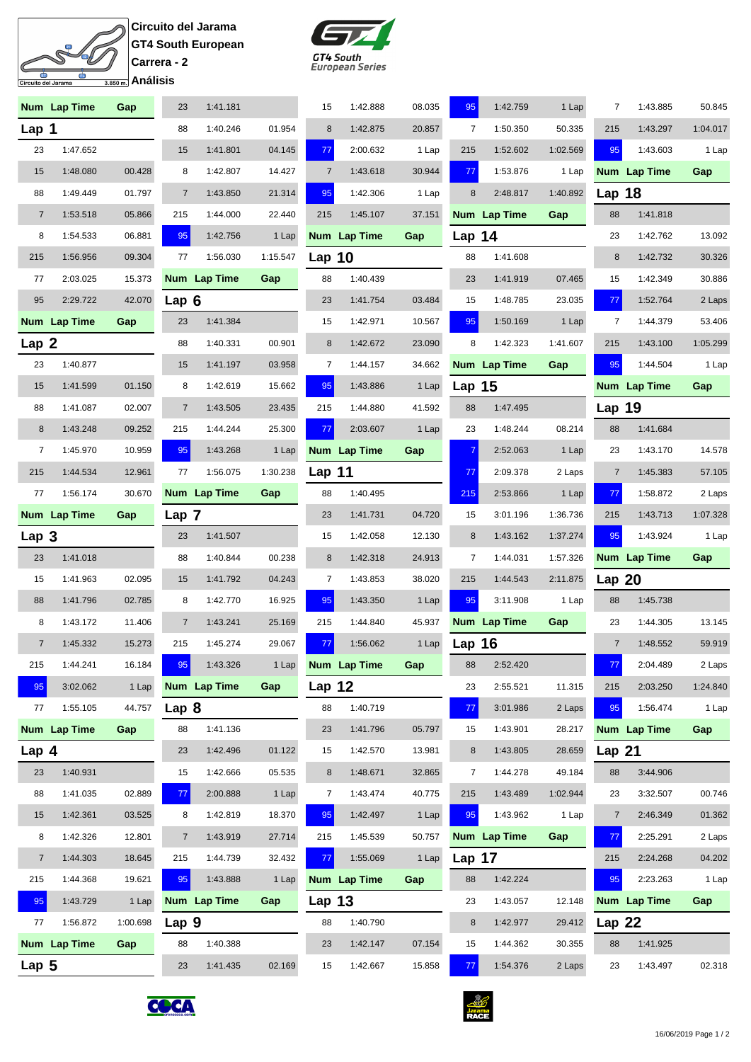## **Circuito del Jarama GT4 South European Carrera - 2** <u>—</u><br>3.850 m. Análisis

 $\overline{\mathbf{p}}$  $\mathcal{S}$ 

ito del Jarama

굴



|                  | Num Lap Time | Gap      | 23               | 1:41.181     |          | 15             | 1:42.888     | 08.035 | 95             | 1:42.759     | 1 Lap    | 7                 | 1:43.885     | 50.845   |
|------------------|--------------|----------|------------------|--------------|----------|----------------|--------------|--------|----------------|--------------|----------|-------------------|--------------|----------|
| Lap 1            |              |          | 88               | 1:40.246     | 01.954   | $\bf 8$        | 1:42.875     | 20.857 | $\overline{7}$ | 1:50.350     | 50.335   | 215               | 1:43.297     | 1:04.017 |
| 23               | 1:47.652     |          | 15               | 1:41.801     | 04.145   | 77             | 2:00.632     | 1 Lap  | 215            | 1:52.602     | 1:02.569 | 95                | 1:43.603     | 1 Lap    |
| 15               | 1:48.080     | 00.428   | 8                | 1:42.807     | 14.427   | $\overline{7}$ | 1:43.618     | 30.944 | 77             | 1:53.876     | 1 Lap    |                   | Num Lap Time | Gap      |
| 88               | 1:49.449     | 01.797   | $\overline{7}$   | 1:43.850     | 21.314   | 95             | 1:42.306     | 1 Lap  | 8              | 2:48.817     | 1:40.892 | Lap 18            |              |          |
| $\overline{7}$   | 1:53.518     | 05.866   | 215              | 1:44.000     | 22.440   | 215            | 1:45.107     | 37.151 |                | Num Lap Time | Gap      | 88                | 1:41.818     |          |
| 8                | 1:54.533     | 06.881   | 95               | 1:42.756     | 1 Lap    |                | Num Lap Time | Gap    | Lap 14         |              |          | 23                | 1:42.762     | 13.092   |
| 215              | 1:56.956     | 09.304   | 77               | 1:56.030     | 1:15.547 | Lap $10$       |              |        | 88             | 1:41.608     |          | 8                 | 1:42.732     | 30.326   |
| 77               | 2:03.025     | 15.373   |                  | Num Lap Time | Gap      | 88             | 1:40.439     |        | 23             | 1:41.919     | 07.465   | 15                | 1:42.349     | 30.886   |
| 95               | 2:29.722     | 42.070   | Lap <sub>6</sub> |              |          | 23             | 1:41.754     | 03.484 | 15             | 1:48.785     | 23.035   | 77                | 1:52.764     | 2 Laps   |
|                  | Num Lap Time | Gap      | 23               | 1:41.384     |          | 15             | 1:42.971     | 10.567 | 95             | 1:50.169     | 1 Lap    | $\overline{7}$    | 1:44.379     | 53.406   |
| Lap <sub>2</sub> |              |          | 88               | 1:40.331     | 00.901   | 8              | 1:42.672     | 23.090 | 8              | 1:42.323     | 1:41.607 | 215               | 1:43.100     | 1:05.299 |
| 23               | 1:40.877     |          | 15               | 1:41.197     | 03.958   | $\overline{7}$ | 1:44.157     | 34.662 |                | Num Lap Time | Gap      | 95                | 1:44.504     | 1 Lap    |
| 15               | 1:41.599     | 01.150   | 8                | 1:42.619     | 15.662   | 95             | 1:43.886     | 1 Lap  | Lap $15$       |              |          |                   | Num Lap Time | Gap      |
| 88               | 1:41.087     | 02.007   | $\overline{7}$   | 1:43.505     | 23.435   | 215            | 1:44.880     | 41.592 | 88             | 1:47.495     |          | <b>Lap 19</b>     |              |          |
| 8                | 1:43.248     | 09.252   | 215              | 1:44.244     | 25.300   | 77             | 2:03.607     | 1 Lap  | 23             | 1:48.244     | 08.214   | 88                | 1:41.684     |          |
| 7                | 1:45.970     | 10.959   | 95               | 1:43.268     | 1 Lap    |                | Num Lap Time | Gap    | $\overline{7}$ | 2:52.063     | 1 Lap    | 23                | 1:43.170     | 14.578   |
| 215              | 1:44.534     | 12.961   | 77               | 1:56.075     | 1:30.238 | Lap 11         |              |        | 77             | 2:09.378     | 2 Laps   | $\overline{7}$    | 1:45.383     | 57.105   |
| 77               | 1:56.174     | 30.670   |                  | Num Lap Time | Gap      | 88             | 1:40.495     |        | 215            | 2:53.866     | 1 Lap    | 77                | 1:58.872     | 2 Laps   |
|                  | Num Lap Time | Gap      | Lap 7            |              |          | 23             | 1:41.731     | 04.720 | 15             | 3:01.196     | 1:36.736 | 215               | 1:43.713     | 1:07.328 |
| Lap 3            |              |          | 23               | 1:41.507     |          | 15             | 1:42.058     | 12.130 | 8              | 1:43.162     | 1:37.274 | 95                | 1:43.924     | 1 Lap    |
| 23               | 1:41.018     |          | 88               | 1:40.844     | 00.238   | 8              | 1:42.318     | 24.913 | 7              | 1:44.031     | 1:57.326 |                   | Num Lap Time | Gap      |
| 15               | 1:41.963     | 02.095   | 15               | 1:41.792     | 04.243   | 7              | 1:43.853     | 38.020 | 215            | 1:44.543     | 2:11.875 | Lap $20$          |              |          |
| 88               |              |          |                  |              |          |                | 1:43.350     |        |                | 3:11.908     |          |                   |              |          |
|                  | 1:41.796     | 02.785   | 8                | 1:42.770     | 16.925   | 95             |              | 1 Lap  | 95             |              | 1 Lap    | 88                | 1:45.738     |          |
| 8                | 1:43.172     | 11.406   | $\overline{7}$   | 1:43.241     | 25.169   | 215            | 1:44.840     | 45.937 |                | Num Lap Time | Gap      | 23                | 1:44.305     | 13.145   |
| $\overline{7}$   | 1:45.332     | 15.273   | 215              | 1:45.274     | 29.067   | 77             | 1:56.062     | 1 Lap  | Lap $16$       |              |          | $\overline{7}$    | 1:48.552     | 59.919   |
| 215              | 1:44.241     | 16.184   | 95               | 1:43.326     | 1 Lap    |                | Num Lap Time | Gap    | 88             | 2:52.420     |          | 77                | 2:04.489     | 2 Laps   |
| 95               | 3:02.062     | 1 Lap    |                  | Num Lap Time | Gap      | Lap $12$       |              |        | 23             | 2:55.521     | 11.315   | 215               | 2:03.250     | 1:24.840 |
| 77               | 1:55.105     | 44.757   | Lap 8            |              |          | 88             | 1:40.719     |        | 77             | 3:01.986     | 2 Laps   | 95                | 1:56.474     | 1 Lap    |
|                  | Num Lap Time | Gap      | 88               | 1:41.136     |          | 23             | 1:41.796     | 05.797 | 15             | 1:43.901     | 28.217   |                   | Num Lap Time | Gap      |
| Lap <sub>4</sub> |              |          | 23               | 1:42.496     | 01.122   | 15             | 1:42.570     | 13.981 | 8              | 1:43.805     | 28.659   | Lap <sub>21</sub> |              |          |
| 23               | 1:40.931     |          | 15               | 1:42.666     | 05.535   | 8              | 1:48.671     | 32.865 | 7              | 1:44.278     | 49.184   | 88                | 3:44.906     |          |
| 88               | 1:41.035     | 02.889   | 77               | 2:00.888     | 1 Lap    | 7              | 1:43.474     | 40.775 | 215            | 1:43.489     | 1:02.944 | 23                | 3:32.507     | 00.746   |
| 15               | 1:42.361     | 03.525   | 8                | 1:42.819     | 18.370   | 95             | 1:42.497     | 1 Lap  | 95             | 1:43.962     | 1 Lap    | $\overline{7}$    | 2:46.349     | 01.362   |
| 8                | 1:42.326     | 12.801   | $\overline{7}$   | 1:43.919     | 27.714   | 215            | 1:45.539     | 50.757 |                | Num Lap Time | Gap      | 77                | 2:25.291     | 2 Laps   |
| $\overline{7}$   | 1:44.303     | 18.645   | 215              | 1:44.739     | 32.432   | 77             | 1:55.069     | 1 Lap  | Lap 17         |              |          | 215               | 2:24.268     | 04.202   |
| 215              | 1:44.368     | 19.621   | 95               | 1:43.888     | 1 Lap    |                | Num Lap Time | Gap    | 88             | 1:42.224     |          | 95                | 2:23.263     | 1 Lap    |
| 95               | 1:43.729     | 1 Lap    |                  | Num Lap Time | Gap      | Lap $13$       |              |        | 23             | 1:43.057     | 12.148   |                   | Num Lap Time | Gap      |
| 77               | 1:56.872     | 1:00.698 | Lap 9            |              |          | 88             | 1:40.790     |        | 8              | 1:42.977     | 29.412   | <b>Lap 22</b>     |              |          |
| Lap $5$          | Num Lap Time | Gap      | 88               | 1:40.388     |          | 23             | 1:42.147     | 07.154 | 15             | 1:44.362     | 30.355   | 88                | 1:41.925     |          |



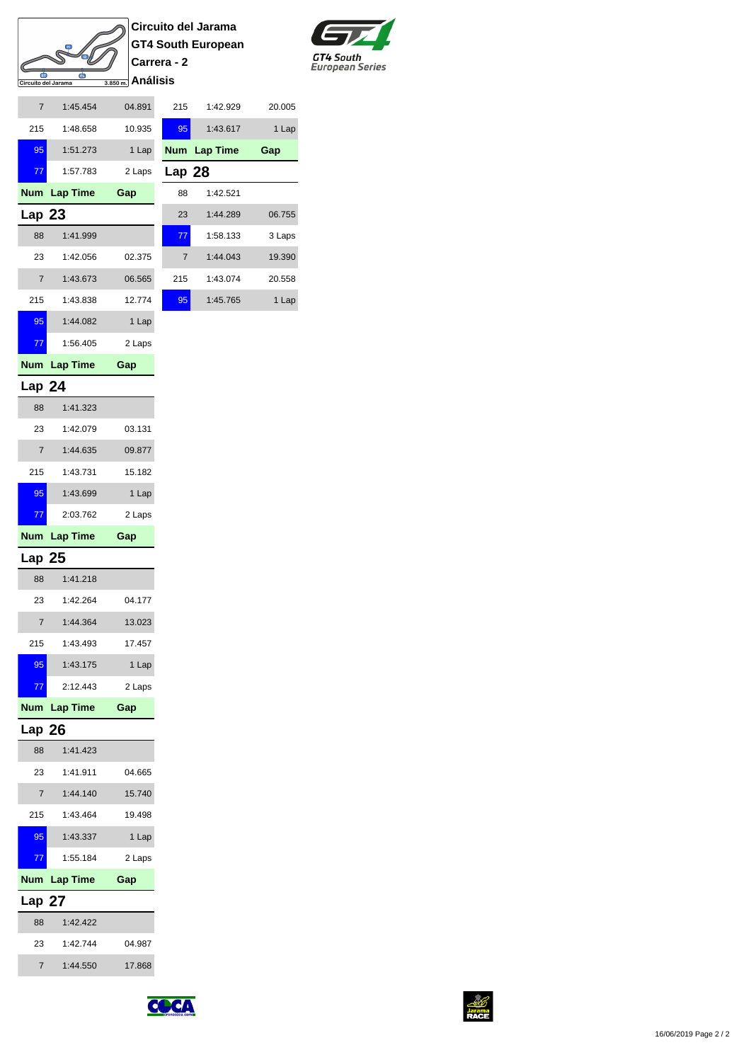## $\blacksquare$ 굴 <u>—</u><br>3.850 m. Análisis Circuito del Jarama

**Circuito del Jarama GT4 South European Carrera - 2**



| 20.005 | 1:42.929     | 215            | 04.891 | 1:45.454     | $\overline{7}$    |
|--------|--------------|----------------|--------|--------------|-------------------|
| 1 Lap  | 1:43.617     | 95             | 10.935 | 1:48.658     | 215               |
| Gap    | Num Lap Time |                | 1 Lap  | 1:51.273     | 95                |
|        |              | Lap 28         | 2 Laps | 1:57.783     | 77                |
|        | 1:42.521     | 88             | Gap    | Num Lap Time |                   |
| 06.755 | 1:44.289     | 23             |        |              | Lap <sub>23</sub> |
| 3 Laps | 1:58.133     | 77             |        | 1:41.999     | 88                |
| 19.390 | 1:44.043     | $\overline{7}$ | 02.375 | 1:42.056     | 23                |
| 20.558 | 1:43.074     | 215            | 06.565 | 1:43.673     | $\overline{7}$    |
| 1 Lap  | 1:45.765     | 95             | 12.774 | 1:43.838     | 215               |
|        |              |                | 1 Lap  | 1:44.082     | 95                |

## **Lap 24**

77 1:56.405 2 Laps

**Num Lap Time Gap**

| 88             | 1:41.323        |        |
|----------------|-----------------|--------|
| 23             | 1:42.079        | 03.131 |
| 7              | 1:44.635        | 09.877 |
| 215            | 1:43.731        | 15.182 |
| 95             | 1:43.699        | 1 Lap  |
| 77             | 2:03.762        | 2 Laps |
| Num            | <b>Lap Time</b> | Gap    |
| Lap 25         |                 |        |
| 88             | 1:41.218        |        |
| 23             | 1:42.264        | 04.177 |
| $\overline{7}$ | 1:44.364        | 13.023 |
| 215            | 1:43.493        | 17.457 |
| 95             | 1:43.175        | 1 Lap  |
|                |                 |        |
| 77             | 2:12.443        | 2 Laps |
| Num            | <b>Lap Time</b> | Gap    |
| Lap 26         |                 |        |
| 88             | 1:41.423        |        |
| 23             | 1:41.911        | 04.665 |
| $\overline{7}$ | 1:44.140        | 15.740 |
| 215            | 1:43.464        | 19.498 |
| 95             | 1:43.337        | 1 Lap  |
| 77             | 1:55.184        | 2 Laps |
| Num.           | <b>Lap Time</b> | Gap    |
| <b>Lap 27</b>  |                 |        |
| 88             | 1:42.422        |        |
| 23             | 1:42.744        | 04.987 |



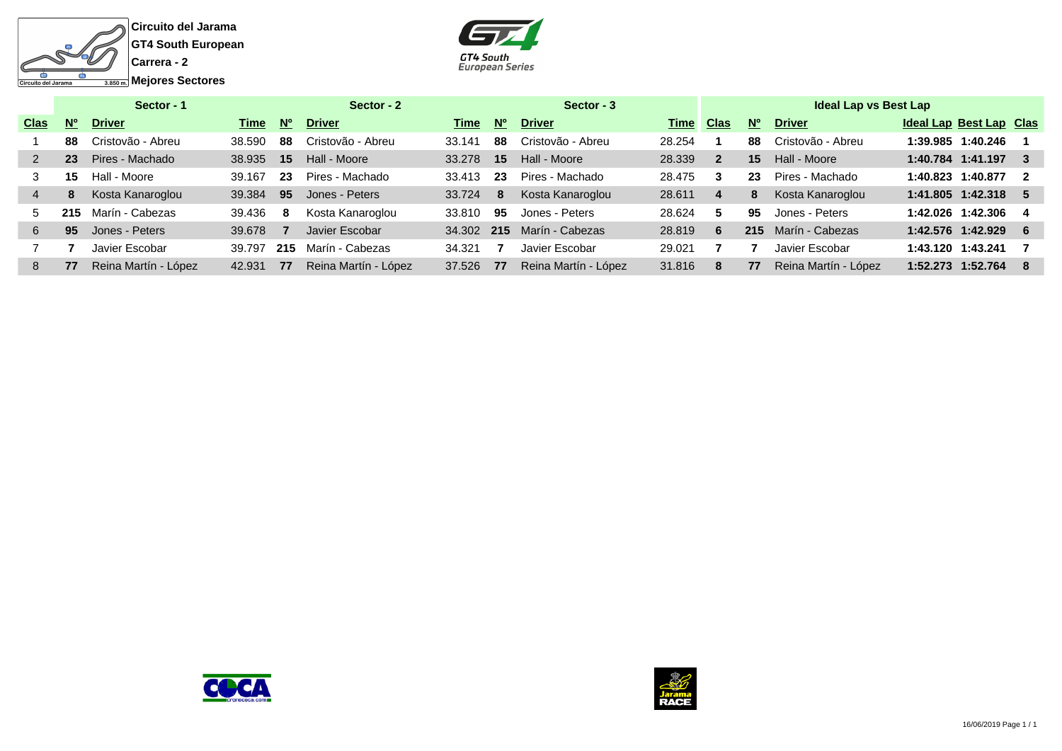



|             |                      | Sector - 1           |        |             | Sector - 2           |        |           | Sector - 3           |             |                |             | <b>Ideal Lap vs Best Lap</b> |                                |                         |
|-------------|----------------------|----------------------|--------|-------------|----------------------|--------|-----------|----------------------|-------------|----------------|-------------|------------------------------|--------------------------------|-------------------------|
| <b>Clas</b> | <b>N<sub>o</sub></b> | <b>Driver</b>        | Time   | $N^{\circ}$ | <b>Driver</b>        | Time   | <b>No</b> | <b>Driver</b>        | <u>Time</u> | <b>Clas</b>    | $N^{\circ}$ | <b>Driver</b>                | <b>Ideal Lap Best Lap Clas</b> |                         |
|             | 88                   | Cristovão - Abreu    | 38.590 | 88          | Cristovão - Abreu    | 33.141 | 88        | Cristovão - Abreu    | 28.254      |                | 88          | Cristovão - Abreu            | 1:39.985 1:40.246              |                         |
|             | 23                   | Pires - Machado      | 38.935 | 15          | Hall - Moore         | 33.278 | 15        | Hall - Moore         | 28.339      | $\overline{2}$ | 15          | Hall - Moore                 | 1:40.784 1:41.197              | - 3                     |
|             | 15                   | Hall - Moore         | 39.167 | 23          | Pires - Machado      | 33.413 | 23        | Pires - Machado      | 28.475      | 3              | 23          | Pires - Machado              | 1:40.823 1:40.877              | $\overline{\mathbf{2}}$ |
|             | 8                    | Kosta Kanaroglou     | 39.384 | 95          | Jones - Peters       | 33.724 | 8         | Kosta Kanaroglou     | 28.611      | 4              | 8           | Kosta Kanaroglou             | 1:41.805 1:42.318              | - 5                     |
| 5.          | 215                  | Marín - Cabezas      | 39.436 | 8           | Kosta Kanaroglou     | 33.810 | 95        | Jones - Peters       | 28.624      | 5              | 95          | Jones - Peters               | 1:42.026 1:42.306              | - 4                     |
| 6.          | 95                   | Jones - Peters       | 39.678 |             | Javier Escobar       | 34.302 | 215       | Marín - Cabezas      | 28.819      | 6              | 215         | Marín - Cabezas              | 1:42.576 1:42.929              | - 6                     |
|             |                      | Javier Escobar       | 39.797 | 215         | Marín - Cabezas      | 34.321 |           | Javier Escobar       | 29.021      |                |             | Javier Escobar               | 1:43.120 1:43.241              |                         |
| 8           | 77                   | Reina Martín - López | 42.931 | 77          | Reina Martín - López | 37.526 | 77        | Reina Martín - López | 31.816      | 8              | 77          | Reina Martín - López         | 1:52.273 1:52.764              | - 8                     |
|             |                      |                      |        |             |                      |        |           |                      |             |                |             |                              |                                |                         |



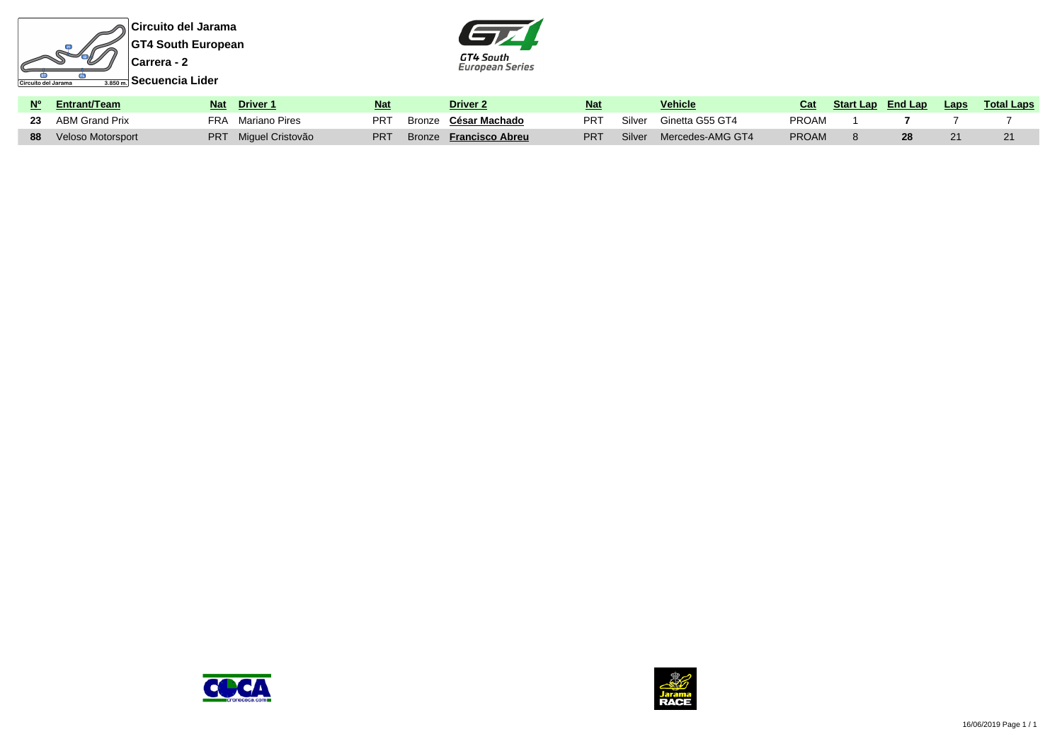



| Nº Entrant/Team      | <b>Nat</b> | Driver 1         | <b>Nat</b>      | Driver <sub>2</sub>    | <b>Nat</b> |        | <b>Vehicle</b>   | Cat          | <b>Start Lap</b> End Lap | Laps | <u>Total Laps</u> |
|----------------------|------------|------------------|-----------------|------------------------|------------|--------|------------------|--------------|--------------------------|------|-------------------|
| 23 ABM Grand Prix    | FRA        | Mariano Pires    | PR <sub>1</sub> | Bronze César Machado   | <b>PRT</b> | Silver | Ginetta G55 GT4  | <b>PROAM</b> |                          |      |                   |
| 88 Veloso Motorsport | PRT.       | Miguel Cristovão | PR <sub>1</sub> | Bronze Francisco Abreu | <b>PRT</b> | Silver | Mercedes-AMG GT4 | <b>PROAM</b> |                          |      |                   |



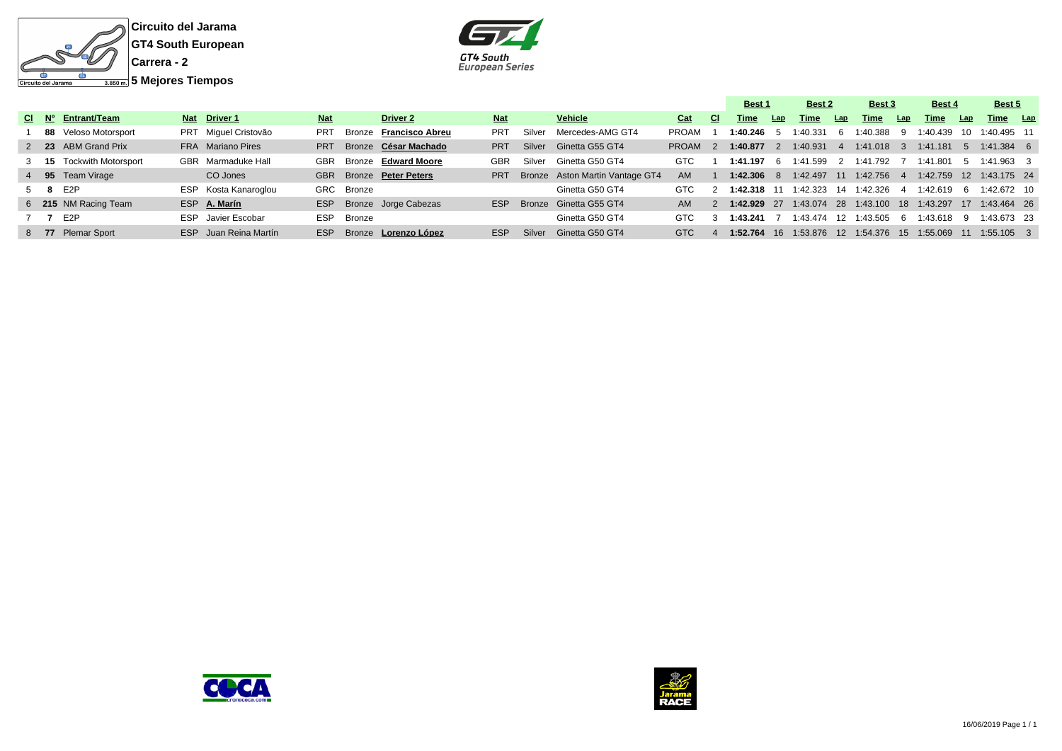



|  |                          |                       |            |            |                          |            |        |                                 |            |                | <b>Best 1</b> |     | Best 2      |      | Best 3                                             |     | <b>Best 4</b>              |             | Best 5         |  |
|--|--------------------------|-----------------------|------------|------------|--------------------------|------------|--------|---------------------------------|------------|----------------|---------------|-----|-------------|------|----------------------------------------------------|-----|----------------------------|-------------|----------------|--|
|  | CI Nº Entrant/Team       | Nat Driver 1          | <b>Nat</b> |            | Driver 2                 | <b>Nat</b> |        | Vehicle                         | Cat        | CI.            | Time          | Lap | Time        | Lap  | Time                                               | Lap | Time                       | Lap         | Time Lap       |  |
|  | 88 Veloso Motorsport     | PRT Miquel Cristovão  | <b>PRT</b> |            | Bronze Francisco Abreu   | <b>PRT</b> | Silver | Mercedes-AMG GT4                | PROAM      |                | $1:40.246$ 5  |     | 1:40.331    | 6    | $1:40.388$ 9                                       |     | 1:40.439                   |             | 10 1:40.495 11 |  |
|  | 2 23 ABM Grand Prix      | FRA Mariano Pires     | <b>PRT</b> |            | Bronze César Machado     | <b>PRT</b> | Silver | Ginetta G55 GT4                 | PROAM      | $\overline{2}$ | $1:40.877$ 2  |     | 1:40.931    | $-4$ | 1:41.018 3 1:41.181                                |     |                            | - 5         | $1:41.384$ 6   |  |
|  | 3 15 Tockwith Motorsport | GBR Marmaduke Hall    | GBR        |            | Bronze Edward Moore      | <b>GBR</b> |        | Silver Ginetta G50 GT4          | GTC        |                | 1:41.197 6    |     | 1:41.599    | 2    | 1:41.792 7                                         |     | 1:41.801                   | - 5         | 1:41.963 3     |  |
|  | 4 95 Team Virage         | CO Jones              |            |            | GBR Bronze Peter Peters  | <b>PRT</b> |        | Bronze Aston Martin Vantage GT4 | AM         |                | $1:42.306$ 8  |     | 1:42.497 11 |      | 1:42.756 4                                         |     | 1:42.759  12  1:43.175  24 |             |                |  |
|  | 5 8 E2P                  | ESP Kosta Kanaroglou  |            | GRC Bronze |                          |            |        | Ginetta G50 GT4                 | GTC.       |                | 1:42.318 11   |     |             |      | 1:42.323 14 1:42.326 4                             |     | 1:42.619                   | - 6         | 1:42.672 10    |  |
|  | 6 215 NM Racing Team     | ESP A. Marín          |            |            | ESP Bronze Jorge Cabezas | ESP        |        | Bronze Ginetta G55 GT4          |            |                |               |     |             |      | 1:42.929 27 1:43.074 28 1:43.100 18 1:43.297       |     |                            | -17         | $1:43.464$ 26  |  |
|  | 7 7 E2P                  | ESP Javier Escobar    | ESP        | Bronze     |                          |            |        | Ginetta G50 GT4                 | <b>GTC</b> |                | 1:43.241      |     | 1:43.474 12 |      | 1:43.505                                           | - 6 | 1:43.618                   | -9          | 1:43.673 23    |  |
|  | 8 77 Plemar Sport        | ESP Juan Reina Martín | <b>ESP</b> |            | Bronze Lorenzo López     | <b>ESP</b> | Silver | Ginetta G50 GT4                 | GTC        |                | 1:52.764      |     |             |      | 16    1:53.876    12    1:54.376    15    1:55.069 |     |                            | $\sqrt{11}$ | $1:55.105$ 3   |  |



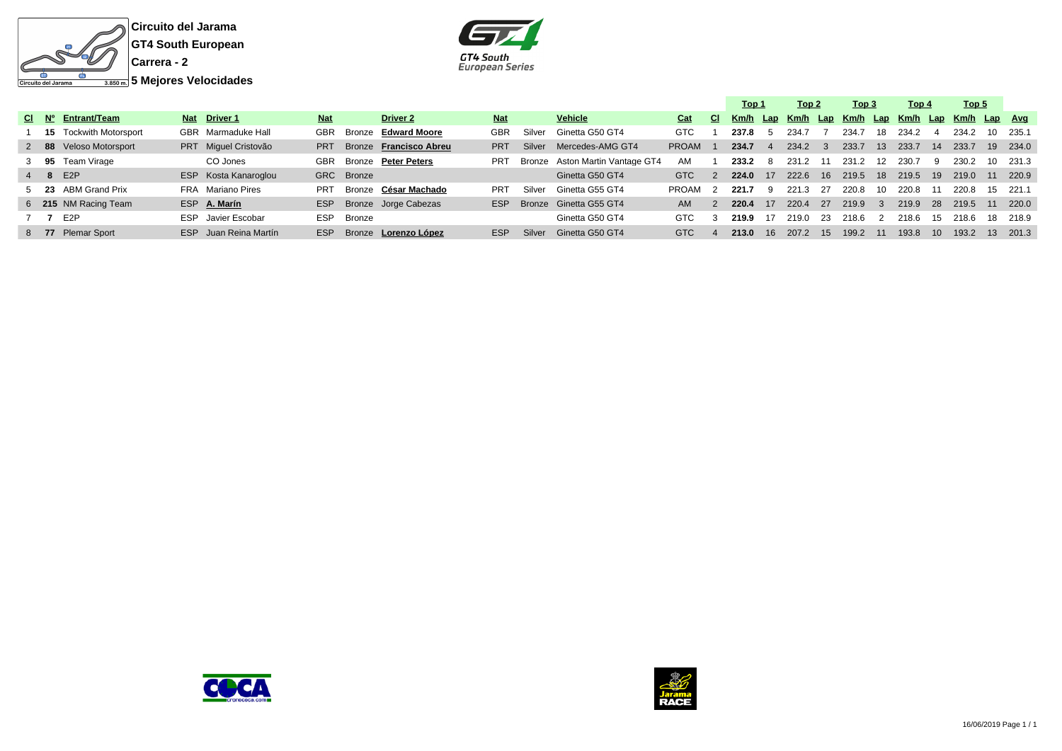



|       |                               |                       |            |            |                        |            |        |                                 |              |               | Top 1                                                   |    | Top 2    |              | Top 3    |                | Top 4    |      | Top 5    |    |          |
|-------|-------------------------------|-----------------------|------------|------------|------------------------|------------|--------|---------------------------------|--------------|---------------|---------------------------------------------------------|----|----------|--------------|----------|----------------|----------|------|----------|----|----------|
| CI Nº | Entrant/Team                  | Nat Driver 1          | <b>Nat</b> |            | <b>Driver 2</b>        | <b>Nat</b> |        | <b>Vehicle</b>                  | Cat          | CI.           | <u>Km/h Lap Km/h Lap Km/h Lap Km/h Lap Km/h Lap Avg</u> |    |          |              |          |                |          |      |          |    |          |
|       | <b>15</b> Tockwith Motorsport | GBR Marmaduke Hall    | GBR        | Bronze     | <b>Edward Moore</b>    | <b>GBR</b> | Silver | Ginetta G50 GT4                 | <b>GTC</b>   |               | 237.8                                                   |    | 234.7    |              | 234.7    | 18             | 234.2    |      | 234.2    | 10 | 235.1    |
|       | 2 88 Veloso Motorsport        | PRT Miquel Cristovão  | <b>PRT</b> |            | Bronze Francisco Abreu | <b>PRT</b> | Silver | Mercedes-AMG GT4                | <b>PROAM</b> |               | 234.7                                                   |    | 234.2    | $\mathbf{3}$ | 233.7    | 13             | 233.7    | 14   | 233.7    |    | 19 234.0 |
|       | 3 95 Team Virage              | CO Jones              | GBR        |            | Bronze Peter Peters    | <b>PRT</b> |        | Bronze Aston Martin Vantage GT4 | AM           |               | 233.2                                                   | -8 | 231.2 11 |              | 231.2    | 12             | 230.7    | -9   | 230.2    | 10 | 231.3    |
|       | 4 8 E2P                       | ESP Kosta Kanaroglou  |            | GRC Bronze |                        |            |        | Ginetta G50 GT4                 | GTC          | $\mathcal{P}$ | 224.0                                                   | 17 | 222.6 16 |              | 219.5 18 |                | 219.5 19 |      | 219.0 11 |    | 220.9    |
|       | 5 23 ABM Grand Prix           | FRA Mariano Pires     | <b>PRT</b> |            | Bronze César Machado   | <b>PRT</b> | Silver | Ginetta G55 GT4                 | PROAM        |               | 221.7                                                   | -9 | 221.3    | 27           | 220.8    | 10             | 220.8    | -11  | 220.8    | 15 | 221.1    |
|       | 6 215 NM Racing Team          | ESP A. Marín          | ESP        |            | Bronze Jorge Cabezas   | ESP        |        | Bronze Ginetta G55 GT4          | AM.          |               | 220.4                                                   | 17 | 220.4    | 27           | 219.9    | - 3            | 219.9    | - 28 | 219.5 11 |    | 220.0    |
|       | E <sub>2</sub> P              | ESP Javier Escobar    | ESP        | Bronze     |                        |            |        | Ginetta G50 GT4                 | GTC          |               | 219.9                                                   | 17 | 219.0    | 23           | 218.6    | $\overline{2}$ | 218.6    | 15   | 218.6    | 18 | 218.9    |
|       | 8 77 Plemar Sport             | ESP Juan Reina Martín | <b>ESP</b> |            | Bronze Lorenzo López   | <b>ESP</b> | Silver | Ginetta G50 GT4                 | <b>GTC</b>   |               | 213.0                                                   | 16 | 207.2    | - 15         | 199.2    | -11            | 193.8    | - 10 | 193.2    | 13 | 201.3    |



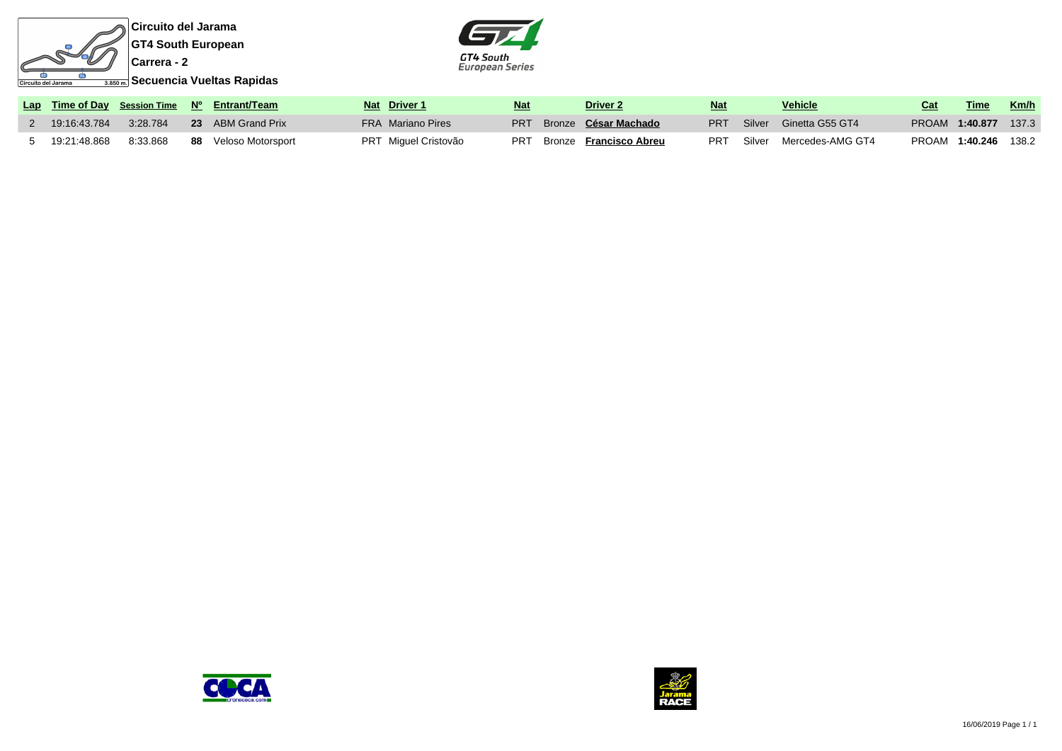



|              |          | Lap Time of Day Session Time Nº Entrant/Team | Nat Driver 1             | <b>Nat</b> | <b>Driver 2</b>               | Nat        | <b>Vehicle</b>                    | Cat | Time                 | <u>Km/h</u> |
|--------------|----------|----------------------------------------------|--------------------------|------------|-------------------------------|------------|-----------------------------------|-----|----------------------|-------------|
| 19:16:43.784 | 3:28.784 | 23 ABM Grand Prix                            | <b>FRA</b> Mariano Pires |            | PRT Bronze César Machado      |            | <b>PRT</b> Silver Ginetta G55 GT4 |     | PROAM 1:40.877       | 137.3       |
|              | 8:33.868 | 88 Veloso Motorsport                         | PRT Miguel Cristovão     | <b>PRT</b> | Bronze <b>Francisco Abreu</b> | <b>PRT</b> | Silver Mercedes-AMG GT4           |     | PROAM 1:40.246 138.2 |             |



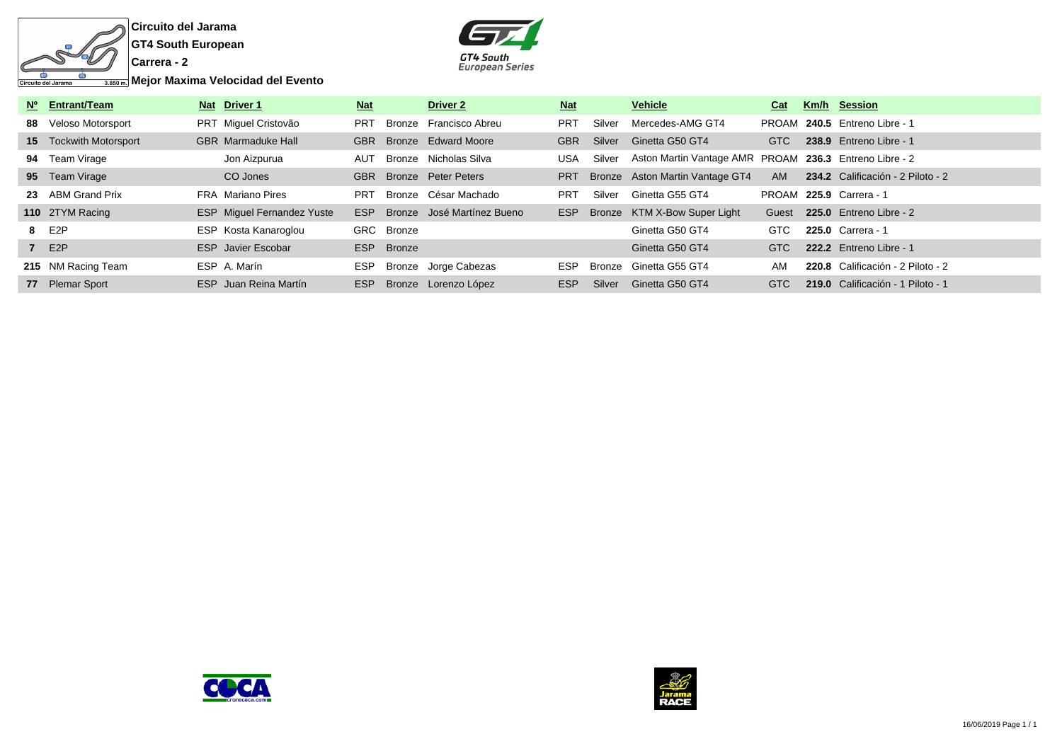

**Circuito del Jarama GT4 South European**



**Mejor Maxima Velocidad del Evento**

| Nº Entrant/Team        | Nat Driver 1                      | <b>Nat</b> |               | <b>Driver 2</b>            | <u>Nat</u> |        | <b>Vehicle</b>                                         | Cat        | Km/h Session                      |
|------------------------|-----------------------------------|------------|---------------|----------------------------|------------|--------|--------------------------------------------------------|------------|-----------------------------------|
| 88 Veloso Motorsport   | PRT Miquel Cristovão              | <b>PRT</b> | Bronze        | Francisco Abreu            | <b>PRT</b> | Silver | Mercedes-AMG GT4                                       |            | PROAM 240.5 Entreno Libre - 1     |
| 15 Tockwith Motorsport | <b>GBR</b> Marmaduke Hall         | <b>GBR</b> |               | Bronze Edward Moore        | <b>GBR</b> | Silver | Ginetta G50 GT4                                        | <b>GTC</b> | 238.9 Entreno Libre - 1           |
| 94 Team Virage         | Jon Aizpurua                      | AUT        |               | Bronze Nicholas Silva      | <b>USA</b> | Silver | Aston Martin Vantage AMR PROAM 236.3 Entreno Libre - 2 |            |                                   |
| 95 Team Virage         | CO Jones                          | <b>GBR</b> |               | Bronze Peter Peters        | <b>PRT</b> |        | Bronze Aston Martin Vantage GT4                        | <b>AM</b>  | 234.2 Calificación - 2 Piloto - 2 |
| 23 ABM Grand Prix      | FRA Mariano Pires                 | PRT        |               | Bronze César Machado       | <b>PRT</b> | Silver | Ginetta G55 GT4                                        |            | PROAM 225.9 Carrera - 1           |
| 110 2TYM Racing        | <b>ESP</b> Miguel Fernandez Yuste | <b>ESP</b> |               | Bronze José Martínez Bueno | ESP        |        | Bronze KTM X-Bow Super Light                           | Guest      | 225.0 Entreno Libre - 2           |
| 8 E2P                  | ESP Kosta Kanaroglou              |            | GRC Bronze    |                            |            |        | Ginetta G50 GT4                                        | GTC        | 225.0 Carrera - 1                 |
| 7 E2P                  | <b>ESP</b> Javier Escobar         | ESP        | <b>Bronze</b> |                            |            |        | Ginetta G50 GT4                                        | GTC        | 222.2 Entreno Libre - 1           |
| 215 NM Racing Team     | ESP A. Marín                      | ESP.       |               | Bronze Jorge Cabezas       | <b>ESP</b> | Bronze | Ginetta G55 GT4                                        | AM         | 220.8 Calificación - 2 Piloto - 2 |
| 77 Plemar Sport        | ESP Juan Reina Martín             | <b>ESP</b> |               | Bronze Lorenzo López       | ESP        | Silver | Ginetta G50 GT4                                        | GTC        | 219.0 Calificación - 1 Piloto - 1 |



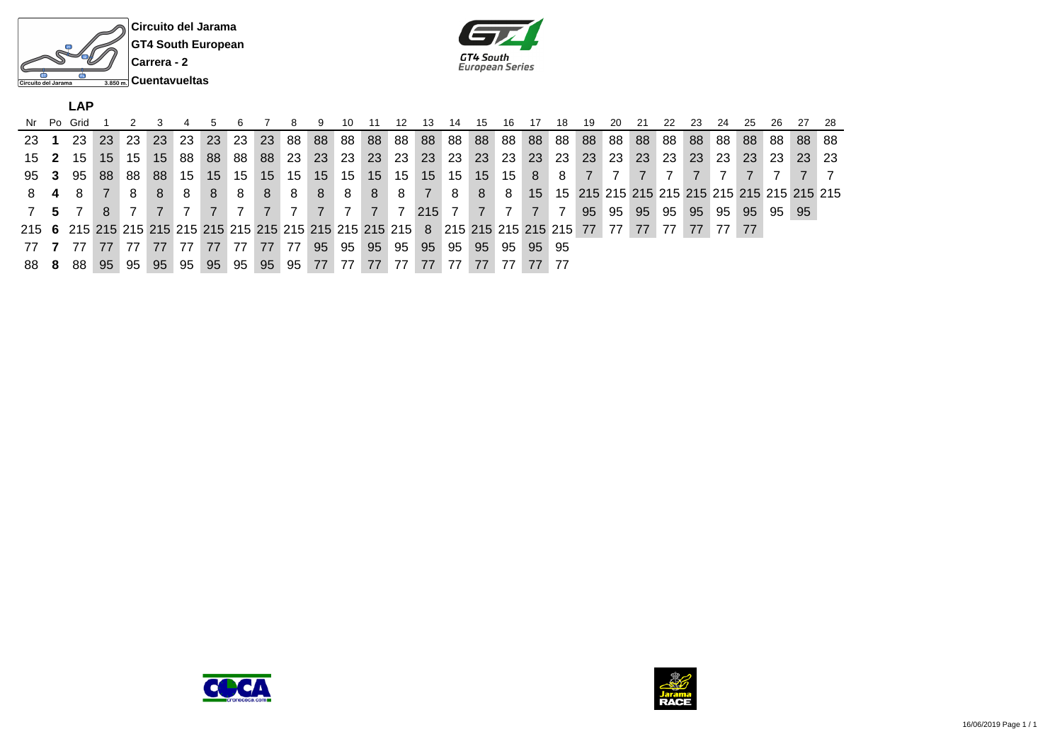



|     |    | LAP  |                 |    |    |    |                 |     |    |     |    |                |                 |                 |                |              |       |     |           |     |    |           |    |     |    |       |     |     |           |     |
|-----|----|------|-----------------|----|----|----|-----------------|-----|----|-----|----|----------------|-----------------|-----------------|----------------|--------------|-------|-----|-----------|-----|----|-----------|----|-----|----|-------|-----|-----|-----------|-----|
| Nr  | Po | Grid |                 |    |    |    |                 |     |    |     |    | 10             |                 | 12              | 13             | 14           | 15    | 16  |           | 18  | 19 | <b>20</b> | 21 | 22  | 23 | 24    | -25 | -26 | -27       | -28 |
| -23 |    | 23   | 23              | 23 | 23 | 23 | <b>23</b>       | -23 | 23 | 88  | 88 | 88             | 88              |                 | 88 88          | 88           | . 88  | 88  | 88 88     |     | 88 | 88        | 88 | 88  | 88 | 88    | 88  | 88  | -88       | -88 |
| 15  | -2 | 15   | 15 <sup>1</sup> | 15 | 15 | 88 | 88              | -88 | 88 | -23 | 23 | -23            | 23              | 23 <sup>1</sup> | <b>23</b>      | -23          | 23    | -23 | <b>23</b> | -23 | 23 | l 23      | 23 | -23 | 23 | 23    | 23  | -23 | <b>23</b> | -23 |
| 95  | -3 | 95   | -88             | 88 | 88 | 15 | 15 <sup>1</sup> | 15  | 15 | 15  | 15 | 15             | 15 <sup>1</sup> | 15              | 15             | 15 I         | 15    | 15  | -8        | 8   |    |           |    |     |    |       |     |     |           |     |
| 8.  |    | 8    |                 | 8  | 8  | 8  | 8               | 8   | 8  | -8  | 8  | 8              | 8               | 8               | $\overline{7}$ | 8            | 8     | 8   | 15        |     |    |           |    |     |    |       |     |     |           |     |
|     |    |      |                 |    |    |    |                 |     |    |     | 7  | $\overline{7}$ | $\overline{7}$  | <sup>7</sup>    | 215            | $\mathbf{7}$ |       |     |           |     | 95 | 95        | 95 | 95  | 95 | 95    | 95  | 95  | 95        |     |
|     |    |      |                 |    |    |    |                 |     |    |     |    |                |                 |                 |                |              |       |     |           |     |    |           | 77 | 77  | 77 | 77 77 |     |     |           |     |
|     |    |      |                 |    | 77 | 77 | 77              |     | 77 | 77  | 95 | 95             | 95              | 95              | 95             | 95           | $-95$ | 95  | 95 95     |     |    |           |    |     |    |       |     |     |           |     |
| -88 | 8  | 88   | 95              | 95 | 95 | 95 | 95              | 95  | 95 | 95  | 77 | 77             |                 |                 |                |              | 77    |     | 77        |     |    |           |    |     |    |       |     |     |           |     |



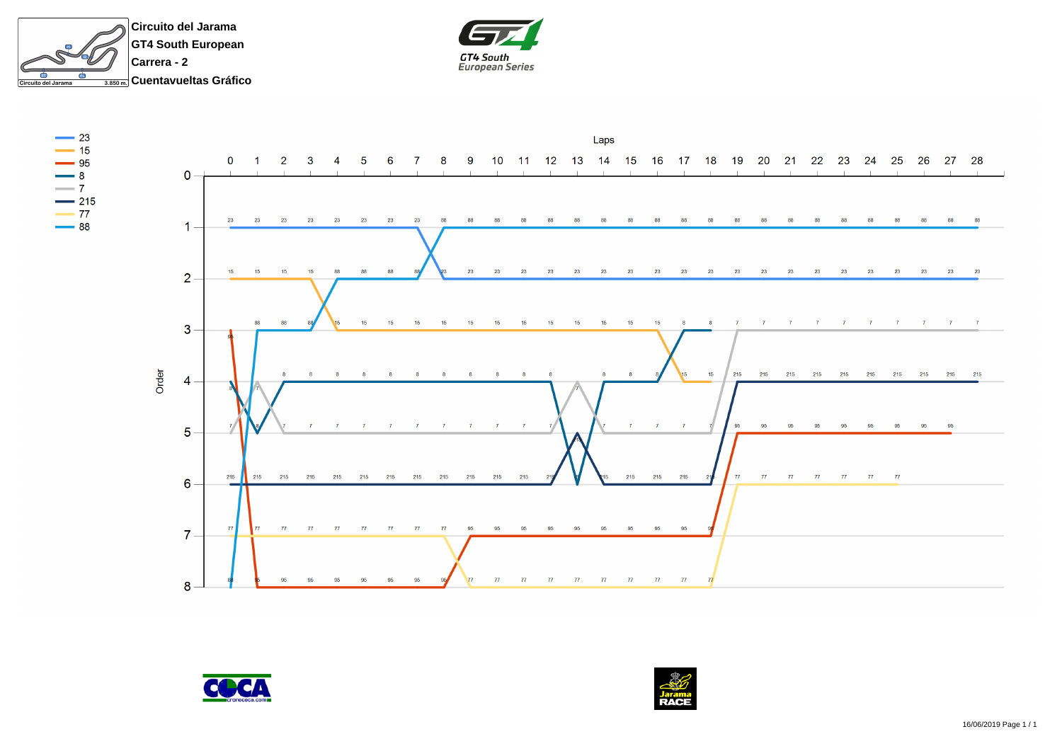